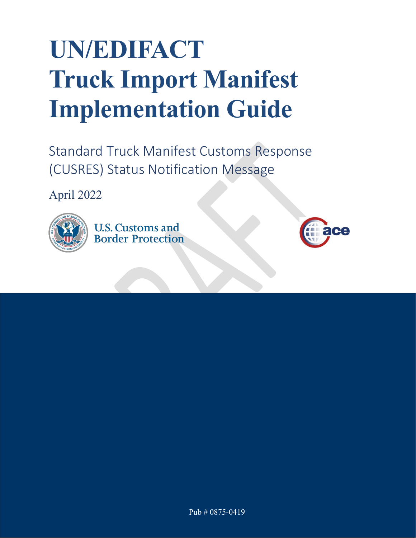# **UN/EDIFACT Truck Import Manifest Implementation Guide**

Standard Truck Manifest Customs Response (CUSRES) Status Notification Message

April 2022



**U.S. Customs and Border Protection** 

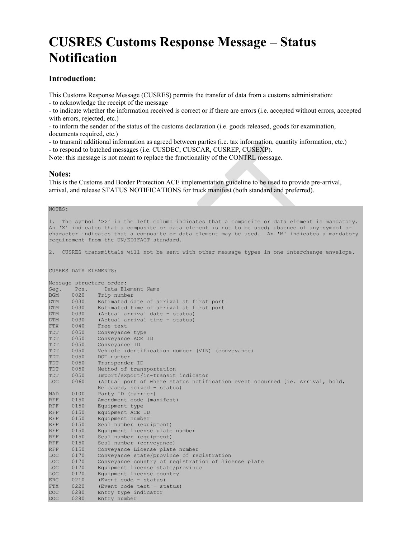# **CUSRES Customs Response Message – Status Notification**

#### **Introduction:**

This Customs Response Message (CUSRES) permits the transfer of data from a customs administration:

- to acknowledge the receipt of the message

- to indicate whether the information received is correct or if there are errors (i.e. accepted without errors, accepted with errors, rejected, etc.)

- to inform the sender of the status of the customs declaration (i.e. goods released, goods for examination, documents required, etc.)

- to transmit additional information as agreed between parties (i.e. tax information, quantity information, etc.)

- to respond to batched messages (i.e. CUSDEC, CUSCAR, CUSREP, CUSEXP).

Note: this message is not meant to replace the functionality of the CONTRL message.

#### **Notes:**

This is the Customs and Border Protection ACE implementation guideline to be used to provide pre-arrival, arrival, and release STATUS NOTIFICATIONS for truck manifest (both standard and preferred).

#### NOTES:

1. The symbol '>>' in the left column indicates that a composite or data element is mandatory. An 'X' indicates that a composite or data element is not to be used; absence of any symbol or character indicates that a composite or data element may be used. An 'M' indicates a mandatory requirement from the UN/EDIFACT standard.

2. CUSRES transmittals will not be sent with other message types in one interchange envelope.

CUSRES DATA ELEMENTS:

|            | Message structure order: |                                                                              |  |  |  |  |  |  |
|------------|--------------------------|------------------------------------------------------------------------------|--|--|--|--|--|--|
| Seq.       | Pos.                     | Data Element Name                                                            |  |  |  |  |  |  |
| <b>BGM</b> | 0020                     | Trip number                                                                  |  |  |  |  |  |  |
| <b>DTM</b> | 0030                     | Estimated date of arrival at first port                                      |  |  |  |  |  |  |
| <b>DTM</b> | 0030                     | Estimated time of arrival at first port                                      |  |  |  |  |  |  |
| <b>DTM</b> | 0030                     | (Actual arrival date - status)                                               |  |  |  |  |  |  |
| <b>DTM</b> | 0030                     | (Actual arrival time - status)                                               |  |  |  |  |  |  |
| <b>FTX</b> | 0040                     | Free text                                                                    |  |  |  |  |  |  |
| TDT        | 0050                     | Conveyance type                                                              |  |  |  |  |  |  |
| TDT        | 0050                     | Conveyance ACE ID                                                            |  |  |  |  |  |  |
| TDT        | 0050                     | Conveyance ID                                                                |  |  |  |  |  |  |
| TDT        | 0050                     | Vehicle identification number (VIN) (conveyance)                             |  |  |  |  |  |  |
| TDT        | 0050                     | DOT number                                                                   |  |  |  |  |  |  |
| TDT        | 0050                     | Transponder ID                                                               |  |  |  |  |  |  |
| TDT        | 0050                     | Method of transportation                                                     |  |  |  |  |  |  |
| TDT        | 0050                     | Import/export/in-transit indicator                                           |  |  |  |  |  |  |
| <b>LOC</b> | 0060                     | (Actual port of where status notification event occurred [ie. Arrival, hold, |  |  |  |  |  |  |
|            |                          | Released, seized - status)                                                   |  |  |  |  |  |  |
| <b>NAD</b> | 0100                     | Party ID (carrier)                                                           |  |  |  |  |  |  |
| <b>RFF</b> | 0150                     | Amendment code (manifest)                                                    |  |  |  |  |  |  |
| <b>RFF</b> | 0150                     | Equipment type                                                               |  |  |  |  |  |  |
| <b>RFF</b> | 0150                     | Equipment ACE ID                                                             |  |  |  |  |  |  |
| <b>RFF</b> | 0150                     | Equipment number                                                             |  |  |  |  |  |  |
| <b>RFF</b> | 0150                     | Seal number (equipment)                                                      |  |  |  |  |  |  |
| <b>RFF</b> | 0150                     | Equipment license plate number                                               |  |  |  |  |  |  |
| <b>RFF</b> | 0150                     | Seal number (equipment)                                                      |  |  |  |  |  |  |
| <b>RFF</b> | 0150                     | Seal number (conveyance)                                                     |  |  |  |  |  |  |
| <b>RFF</b> | 0150                     | Conveyance License plate number                                              |  |  |  |  |  |  |
| <b>LOC</b> | 0170                     | Conveyance state/province of registration                                    |  |  |  |  |  |  |
| <b>LOC</b> | 0170                     | Conveyance country of registration of license plate                          |  |  |  |  |  |  |
| <b>LOC</b> | 0170                     | Equipment license state/province                                             |  |  |  |  |  |  |
| <b>LOC</b> | 0170                     | Equipment license country                                                    |  |  |  |  |  |  |
| <b>ERC</b> | 0210                     | (Event code - status)                                                        |  |  |  |  |  |  |
| <b>FTX</b> | 0220                     | (Event code text - status)                                                   |  |  |  |  |  |  |
| <b>DOC</b> | 0280                     | Entry type indicator                                                         |  |  |  |  |  |  |
| <b>DOC</b> | 0280                     | Entry number                                                                 |  |  |  |  |  |  |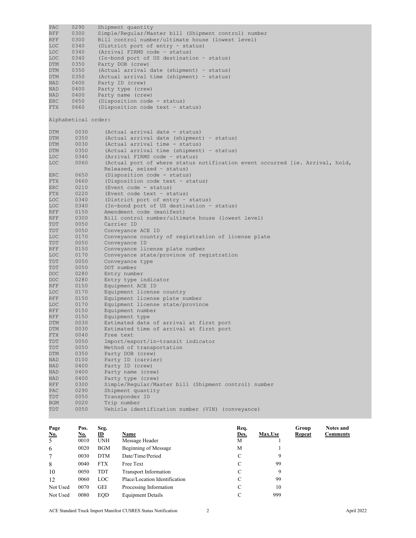PAC 0290 Shipment quantity<br>RFF 0300 Simple/Regular/Mas RFF 0300 Simple/Regular/Master bill (Shipment control) number<br>RFF 0300 Bill control number/ultimate house (lowest level) RFF 0300 Bill control number/ultimate house (lowest level)<br>LOC 0340 (District port of entry - status) LOC 0340 (District port of entry - status)<br>LOC 0340 (Arrival FIRMS code - status) LOC 0340 (Arrival FIRMS code – status) LOC 0340 (In-bond port of US destination - status)<br>DTM 0350 Party DOB (crew) DTM 0350 Party DOB (crew)<br>DTM 0350 (Actual arrival DTM 0350 (Actual arrival date (shipment) – status) DTM 0350 (Actual arrival time (shipment) – status) NAD 0400 Party ID (crew)<br>NAD 0400 Party type (cre NAD 0400 Party type (crew)<br>NAD 0400 Party name (crew) NAD 0400 Party name (crew)<br>ERC 0650 (Disposition code ERC 0650 (Disposition code - status)<br>FTX 0660 (Disposition code text - st (Disposition code text - status) Alphabetical order: DTM 0030 (Actual arrival date - status)<br>DTM 0350 (Actual arrival date (shipment DTM 0350 (Actual arrival date (shipment) – status)<br>DTM 0030 (Actual arrival time – status) DTM 0030 (Actual arrival time - status)<br>DTM 0350 (Actual arrival time (shipment DTM 0350 (Actual arrival time (shipment) – status)<br>LOC 0340 (Arrival FIRMS code – status) LOC 0340 (Arrival FIRMS code - status)<br>LOC 0060 (Actual port of where status (Actual port of where status notification event occurred [ie. Arrival, hold, Released, seized – status)<br>ERC 0650 (Disposition code – status enc 0650 (Disposition code - status)<br>FTX 0660 (Disposition code text - st FTX 0660 (Disposition code text – status)<br>ERC 0210 (Event code – status) ERC 0210 (Event code - status)<br>FTX 0220 (Event code text - st FTX 0220 (Event code text - status)<br>LOC 0340 (District port of entry -LOC 0340 (District port of entry - status)<br>LOC 0340 (In-bond port of US destination -LOC 0340 (In-bond port of US destination - status)<br>RFF 0150 Amendment code (manifest) RFF 0150 Amendment code (manifest)<br>RFF 0300 Bill control number/ultim RFF 0300 Bill control number/ultimate house (lowest level)<br>TDT 0050 Carrier ID TDT 0050 Carrier ID<br>TDT 0050 Conveyance TDT 0050 Conveyance ACE ID<br>LOC 0170 Conveyance country LOC 0170 Conveyance country of registration of license plate<br>TDT 0050 Conveyance ID TDT 0050 Conveyance ID RFF 0150 Conveyance license plate number<br>LOC 0170 Conveyance state/province of re LOC 0170 Conveyance state/province of registration<br>TDT 0050 Convevance type TDT 0050 Conveyance type<br>TDT 0050 DOT number TDT 0050 DOT number<br>DOC 0280 Entry numbe DOC 0280 Entry number<br>DOC 0280 Entry type i DOC 0280 Entry type indicator<br>RFF 0150 Equipment ACE ID RFF 0150 Equipment ACE ID<br>LOC 0170 Equipment license LOC 0170 Equipment license country<br>RFF 0150 Equipment license plate m RFF 0150 Equipment license plate number<br>LOC 0170 Equipment license state/provin LOC 0170 Equipment license state/province<br>RFF 0150 Equipment number RFF 0150 Equipment number<br>RFF 0150 Equipment type RFF 0150 Equipment type<br>DTM 0030 Estimated date DTM 0030 Estimated date of arrival at first port<br>DTM 0030 Estimated time of arrival at first port DTM 0030 Estimated time of arrival at first port<br>FTX 0040 Free text FTX 0040 Free text<br>TDT 0050 Import/ex TDT 0050 Import/export/in-transit indicator TDT 0050 Method of transportation<br>DTM 0350 Party DOB (crew) DTM 0350 Party DOB (crew)<br>NAD 0100 Party ID (carrie NAD 0100 Party ID (carrier) NAD 0400 Party ID (crew)<br>NAD 0400 Party name (cre NAD 0400 Party name (crew)<br>NAD 0400 Party type (crew) NAD 0400 Party type (crew)<br>RFF 0300 Simple/Regular/Ma RFF 0300 Simple/Regular/Master bill (Shipment control) number<br>PAC 0290 Shipment quantity PAC 0290 Shipment quantity<br>TDT 0050 Transponder ID TDT 0050 Transponder ID<br>BGM 0020 Trip number BGM 0020 Trip number<br>TDT 0050 Vehicle ider Vehicle identification number (VIN) (conveyance) **Page Pos. Seg. Req. Group Notes and No. No. ID Name Des. Max.Use Repeat Comments**  5 0010 UNH Message Header M 1 6 0020 BGM Beginning of Message M 1 7 0030 DTM Date/Time/Period C 9 8 0040 FTX Free Text C 99

10 0050 TDT Transport Information C 9 12 0060 LOC Place/Location Identification C 99 Not Used 0070 GEI Processing Information C 10 Not Used 0080 EQD Equipment Details C 6999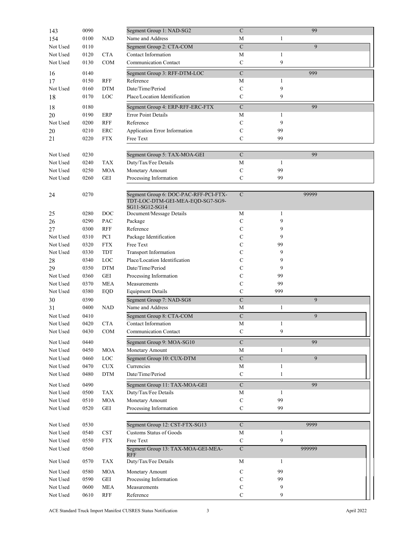| 143      | 0090 |                      | Segment Group 1: NAD-SG2                                                                    | $\mathbf C$             |              | 99     |  |
|----------|------|----------------------|---------------------------------------------------------------------------------------------|-------------------------|--------------|--------|--|
| 154      | 0100 | NAD                  | Name and Address                                                                            | M                       | 1            |        |  |
| Not Used | 0110 |                      | Segment Group 2: CTA-COM                                                                    | $\mathbf C$             |              | 9      |  |
| Not Used | 0120 | <b>CTA</b>           | Contact Information                                                                         | $\mathbf M$             | $\mathbf{1}$ |        |  |
| Not Used | 0130 | COM                  | <b>Communication Contact</b>                                                                | ${\bf C}$               | 9            |        |  |
|          |      |                      |                                                                                             |                         |              |        |  |
| 16       | 0140 |                      | Segment Group 3: RFF-DTM-LOC                                                                | ${\bf C}$               |              | 999    |  |
| 17       | 0150 | <b>RFF</b>           | Reference                                                                                   | $\mathbf M$             | 1            |        |  |
| Not Used | 0160 | <b>DTM</b>           | Date/Time/Period                                                                            | $\mathsf{C}$            | 9            |        |  |
| 18       | 0170 | LOC                  | Place/Location Identification                                                               | C                       | 9            |        |  |
| 18       | 0180 |                      | Segment Group 4: ERP-RFF-ERC-FTX                                                            | $\mathbf C$             |              | 99     |  |
| 20       | 0190 | ERP                  | <b>Error Point Details</b>                                                                  | М                       | $\mathbf{1}$ |        |  |
| Not Used | 0200 | RFF                  | Reference                                                                                   | C                       | 9            |        |  |
|          | 0210 | ERC                  | Application Error Information                                                               | C                       | 99           |        |  |
| 20<br>21 | 0220 | <b>FTX</b>           | Free Text                                                                                   | С                       | 99           |        |  |
|          |      |                      |                                                                                             |                         |              |        |  |
|          |      |                      |                                                                                             |                         |              |        |  |
| Not Used | 0230 |                      | Segment Group 5: TAX-MOA-GEI                                                                | ${\bf C}$               |              | 99     |  |
| Not Used | 0240 | <b>TAX</b>           | Duty/Tax/Fee Details                                                                        | $\mathbf M$             | 1            |        |  |
| Not Used | 0250 | MOA                  | Monetary Amount                                                                             | $\mathsf{C}$            | 99           |        |  |
| Not Used | 0260 | GEI                  | Processing Information                                                                      | $\mathsf{C}$            | 99           |        |  |
|          |      |                      |                                                                                             |                         |              |        |  |
| 24       | 0270 |                      | Segment Group 6: DOC-PAC-RFF-PCI-FTX-<br>TDT-LOC-DTM-GEI-MEA-EQD-SG7-SG9-<br>SG11-SG12-SG14 | $\mathbf C$             |              | 99999  |  |
| 25       | 0280 | DOC                  | Document/Message Details                                                                    | М                       | $\mathbf{1}$ |        |  |
| 26       | 0290 | PAC                  | Package                                                                                     | C                       | 9            |        |  |
| 27       | 0300 | RFF                  | Reference                                                                                   | $\mathsf{C}$            | 9            |        |  |
| Not Used | 0310 | PCI                  | Package Identification                                                                      | C                       | 9            |        |  |
| Not Used | 0320 | <b>FTX</b>           | Free Text                                                                                   | $\mathsf{C}$            | 99           |        |  |
| Not Used | 0330 | <b>TDT</b>           | <b>Transport Information</b>                                                                | C                       | 9            |        |  |
| 28       | 0340 | LOC                  | Place/Location Identification                                                               | С                       | 9            |        |  |
| 29       | 0350 | <b>DTM</b>           | Date/Time/Period                                                                            | С                       | 9            |        |  |
| Not Used | 0360 | GEI                  | Processing Information                                                                      | С                       | 99           |        |  |
| Not Used | 0370 | <b>MEA</b>           | Measurements                                                                                | C                       | 99           |        |  |
| Not Used | 0380 | EQD                  | <b>Equipment Details</b>                                                                    | $\mathbf C$             | 999          |        |  |
| 30       | 0390 |                      | Segment Group 7: NAD-SG8                                                                    | $\mathbf C$             |              | 9      |  |
| 31       | 0400 | <b>NAD</b>           | Name and Address                                                                            | M                       | $\mathbf{1}$ |        |  |
|          |      |                      |                                                                                             |                         |              |        |  |
| Not Used | 0410 |                      | Segment Group 8: CTA-COM                                                                    | $\mathbf C$             |              | 9      |  |
| Not Used | 0420 | <b>CTA</b>           | Contact Information                                                                         | M                       | $\mathbf{1}$ |        |  |
| Not Used | 0430 | $\rm{COM}$           | Communication Contact                                                                       | $\mathbf C$             | 9            |        |  |
| Not Used | 0440 |                      | Segment Group 9: MOA-SG10                                                                   | $\mathbf C$             |              | 99     |  |
| Not Used | 0450 | <b>MOA</b>           | Monetary Amount                                                                             | М                       | $\mathbf{1}$ |        |  |
| Not Used | 0460 | LOC                  | Segment Group 10: CUX-DTM                                                                   | $\overline{\mathbf{C}}$ |              | 9      |  |
| Not Used | 0470 | <b>CUX</b>           | Currencies                                                                                  | $\mathbf M$             | $\mathbf{1}$ |        |  |
| Not Used | 0480 | <b>DTM</b>           | Date/Time/Period                                                                            | $\mathbf C$             | $\mathbf{1}$ |        |  |
|          |      |                      |                                                                                             |                         |              |        |  |
| Not Used | 0490 |                      | Segment Group 11: TAX-MOA-GEI                                                               | $\mathbf C$             |              | 99     |  |
| Not Used | 0500 | $\mathrm{TAX}$       | Duty/Tax/Fee Details                                                                        | $\mathbf M$             | $\mathbf{1}$ |        |  |
| Not Used | 0510 | MOA                  | Monetary Amount                                                                             | C                       | 99           |        |  |
| Not Used | 0520 | GEI                  | Processing Information                                                                      | ${\bf C}$               | 99           |        |  |
|          |      |                      |                                                                                             |                         |              |        |  |
| Not Used | 0530 |                      | Segment Group 12: CST-FTX-SG13                                                              | $\mathbf C$             |              | 9999   |  |
| Not Used | 0540 | <b>CST</b>           | <b>Customs Status of Goods</b>                                                              | М                       | $\mathbf{1}$ |        |  |
| Not Used | 0550 | <b>FTX</b>           | Free Text                                                                                   | ${\bf C}$               | 9            |        |  |
| Not Used | 0560 |                      | Segment Group 13: TAX-MOA-GEI-MEA-                                                          | $\mathbf C$             |              | 999999 |  |
|          |      |                      | <b>RFF</b>                                                                                  |                         |              |        |  |
| Not Used | 0570 | TAX                  | Duty/Tax/Fee Details                                                                        | $\mathbf M$             | $\mathbf{1}$ |        |  |
| Not Used | 0580 | <b>MOA</b>           | Monetary Amount                                                                             | C                       | 99           |        |  |
| Not Used | 0590 | $\operatorname{GEI}$ | Processing Information                                                                      | $\mathbf C$             | 99           |        |  |
| Not Used | 0600 | MEA                  | Measurements                                                                                | ${\bf C}$               | 9            |        |  |
| Not Used | 0610 | <b>RFF</b>           | Reference                                                                                   | $\mathbf C$             | 9            |        |  |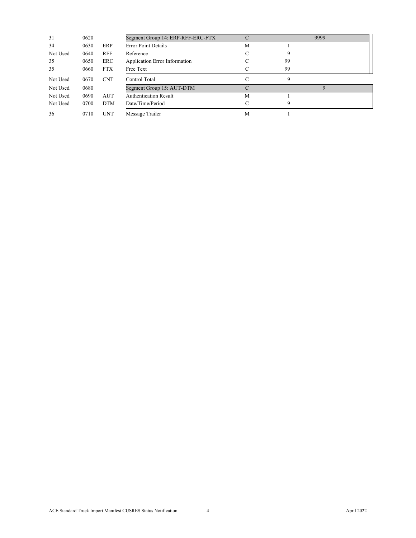| 31       | 0620 |            | Segment Group 14: ERP-RFF-ERC-FTX | C |    | 9999 |  |
|----------|------|------------|-----------------------------------|---|----|------|--|
| 34       | 0630 | ERP        | <b>Error Point Details</b>        | M |    |      |  |
| Not Used | 0640 | <b>RFF</b> | Reference                         |   |    |      |  |
| 35       | 0650 | <b>ERC</b> | Application Error Information     |   | 99 |      |  |
| 35       | 0660 | <b>FTX</b> | Free Text                         |   | 99 |      |  |
| Not Used | 0670 | <b>CNT</b> | Control Total                     | С | 9  |      |  |
| Not Used | 0680 |            | Segment Group 15: AUT-DTM         |   |    |      |  |
| Not Used | 0690 | <b>AUT</b> | <b>Authentication Result</b>      | M |    |      |  |
| Not Used | 0700 | <b>DTM</b> | Date/Time/Period                  |   |    |      |  |
| 36       | 0710 | <b>UNT</b> | Message Trailer                   | M |    |      |  |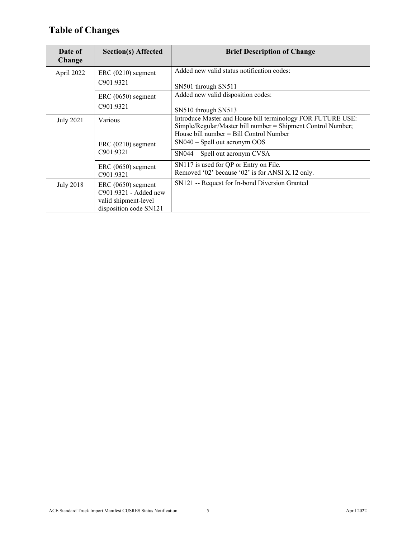# **Table of Changes**

| Date of<br>Change | <b>Section(s) Affected</b>      | <b>Brief Description of Change</b>                                                                                          |
|-------------------|---------------------------------|-----------------------------------------------------------------------------------------------------------------------------|
| April 2022        | ERC (0210) segment              | Added new valid status notification codes:                                                                                  |
|                   | C901:9321                       | SN501 through SN511                                                                                                         |
|                   | ERC (0650) segment              | Added new valid disposition codes:                                                                                          |
|                   | C901:9321                       | SN510 through SN513                                                                                                         |
| <b>July 2021</b>  | Various                         | Introduce Master and House bill terminology FOR FUTURE USE:<br>Simple/Regular/Master bill number = Shipment Control Number; |
|                   |                                 | House bill number $=$ Bill Control Number                                                                                   |
|                   | ERC (0210) segment<br>C901:9321 | $SN040 - Spell out acronym OOS$                                                                                             |
|                   |                                 | SN044 – Spell out acronym CVSA                                                                                              |
|                   | ERC (0650) segment              | SN117 is used for QP or Entry on File.                                                                                      |
|                   | C901:9321                       | Removed '02' because '02' is for ANSI X.12 only.                                                                            |
| <b>July 2018</b>  | ERC (0650) segment              | SN121 -- Request for In-bond Diversion Granted                                                                              |
|                   | C901:9321 - Added new           |                                                                                                                             |
|                   | valid shipment-level            |                                                                                                                             |
|                   | disposition code SN121          |                                                                                                                             |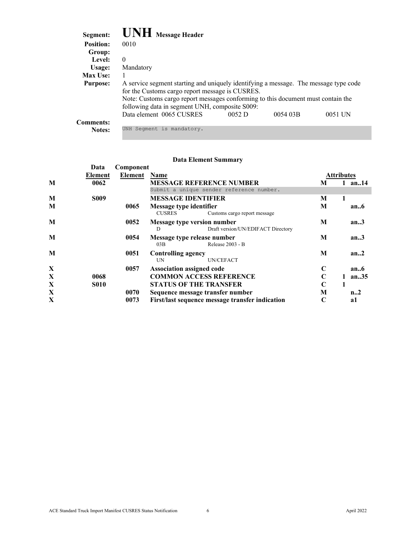| Segment:         | <b>UNH</b> Message Header                                                                                                               |       |         |         |  |
|------------------|-----------------------------------------------------------------------------------------------------------------------------------------|-------|---------|---------|--|
| <b>Position:</b> | 0010                                                                                                                                    |       |         |         |  |
| Group:           |                                                                                                                                         |       |         |         |  |
| Level:           | $\Omega$                                                                                                                                |       |         |         |  |
| Usage:           | Mandatory                                                                                                                               |       |         |         |  |
| Max Use:         |                                                                                                                                         |       |         |         |  |
| <b>Purpose:</b>  | A service segment starting and uniquely identifying a message. The message type code<br>for the Customs cargo report message is CUSRES. |       |         |         |  |
|                  | Note: Customs cargo report messages conforming to this document must contain the<br>following data in segment UNH, composite S009:      |       |         |         |  |
|                  | Data element 0065 CUSRES                                                                                                                | 0052D | 005403B | 0051 UN |  |
| <b>Comments:</b> |                                                                                                                                         |       |         |         |  |
| <b>Notes:</b>    | UNH Segment is mandatory.                                                                                                               |       |         |         |  |

|   | Data        | Component |                           |                                                 |             |                   |
|---|-------------|-----------|---------------------------|-------------------------------------------------|-------------|-------------------|
|   | Element     | Element   | Name                      |                                                 |             | <b>Attributes</b> |
| M | 0062        |           |                           | <b>MESSAGE REFERENCE NUMBER</b>                 | М           | an14              |
|   |             |           |                           | Submit a unique sender reference number.        |             |                   |
| M | <b>S009</b> |           | <b>MESSAGE IDENTIFIER</b> |                                                 | M           | 1                 |
| M |             | 0065      | Message type identifier   |                                                 | M           | an.6              |
|   |             |           | <b>CUSRES</b>             | Customs cargo report message                    |             |                   |
| M |             | 0052      |                           | Message type version number                     | M           | an.3              |
|   |             |           | D                         | Draft version/UN/EDIFACT Directory              |             |                   |
| M |             | 0054      |                           | Message type release number                     | М           | an.3              |
|   |             |           | 03B                       | Release 2003 - B                                |             |                   |
| M |             | 0051      | <b>Controlling agency</b> |                                                 | M           | an.2              |
|   |             |           | UN                        | UN/CEFACT                                       |             |                   |
| X |             | 0057      | Association assigned code |                                                 | $\mathbf C$ | an.6              |
| X | 0068        |           |                           | <b>COMMON ACCESS REFERENCE</b>                  | $\mathbf C$ | an.35             |
| X | <b>S010</b> |           |                           | <b>STATUS OF THE TRANSFER</b>                   | C           |                   |
| X |             | 0070      |                           | Sequence message transfer number                | M           | n <sub>1</sub> 2  |
| X |             | 0073      |                           | First/last sequence message transfer indication | $\mathbf C$ | a1                |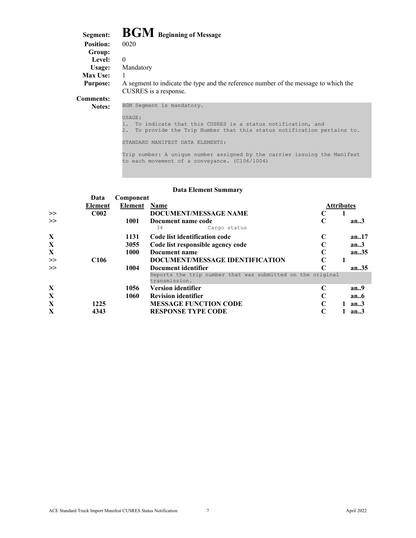| Segment:         | <b>BGM</b> Beginning of Message                                                                                                              |
|------------------|----------------------------------------------------------------------------------------------------------------------------------------------|
| <b>Position:</b> | 0020                                                                                                                                         |
| Group:           |                                                                                                                                              |
| Level:           | $\Omega$                                                                                                                                     |
| Usage:           | Mandatory                                                                                                                                    |
| Max Use:         |                                                                                                                                              |
| <b>Purpose:</b>  | A segment to indicate the type and the reference number of the message to which the<br>CUSRES is a response.                                 |
| <b>Comments:</b> |                                                                                                                                              |
| <b>Notes:</b>    | BGM Segment is mandatory.                                                                                                                    |
|                  | USAGE:                                                                                                                                       |
|                  | To indicate that this CUSRES is a status notification, and<br>$2$ .<br>To provide the Trip Number that this status notification pertains to. |

STANDARD MANIFEST DATA ELEMENTS:

Trip number: A unique number assigned by the carrier issuing the Manifest to each movement of a conveyance. (C106/1004)

|             |                  |           | рата еленісін эйшінаг у                                                     |                   |       |
|-------------|------------------|-----------|-----------------------------------------------------------------------------|-------------------|-------|
|             | Data             | Component |                                                                             |                   |       |
|             | Element          | Element   | <b>Name</b>                                                                 | <b>Attributes</b> |       |
| $\gg$       | C <sub>002</sub> |           | <b>DOCUMENT/MESSAGE NAME</b>                                                |                   |       |
| $\gg$       |                  | 1001      | Document name code<br>34<br>Cargo status                                    | C                 | an.3  |
| X           |                  | 1131      | Code list identification code                                               |                   | an17  |
| X           |                  | 3055      | Code list responsible agency code                                           |                   | an.3  |
| $\mathbf X$ |                  | 1000      | Document name                                                               | C                 | an.35 |
| $\gg$       | C <sub>106</sub> |           | DOCUMENT/MESSAGE IDENTIFICATION                                             | C                 |       |
| $\gg$       |                  | 1004      | Document identifier                                                         | C                 | an.35 |
|             |                  |           | Reports the trip number that was submitted on the original<br>transmission. |                   |       |
| X           |                  | 1056      | <b>Version identifier</b>                                                   |                   | an.9  |
| X           |                  | 1060      | <b>Revision identifier</b>                                                  |                   | an.6  |
| X           | 1225             |           | <b>MESSAGE FUNCTION CODE</b>                                                | C                 | an.3  |
| X           | 4343             |           | <b>RESPONSE TYPE CODE</b>                                                   | C                 | an.3  |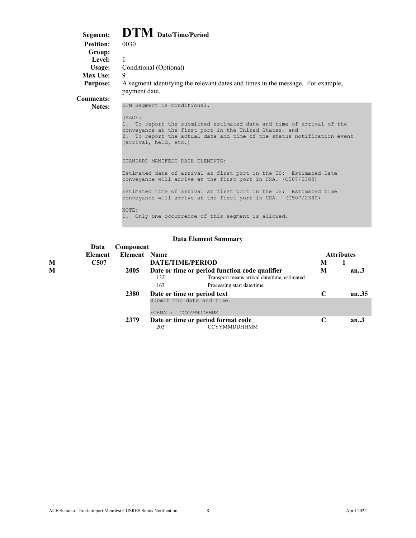| Segment:         | $\mathbf{DTM}$ Date/Time/Period                                                                                                                                                                                                                   |
|------------------|---------------------------------------------------------------------------------------------------------------------------------------------------------------------------------------------------------------------------------------------------|
| <b>Position:</b> | 0030                                                                                                                                                                                                                                              |
| Group:           |                                                                                                                                                                                                                                                   |
| <b>Level:</b>    | $\mathbf{1}$                                                                                                                                                                                                                                      |
| Usage:           | Conditional (Optional)                                                                                                                                                                                                                            |
| <b>Max Use:</b>  | 9                                                                                                                                                                                                                                                 |
| <b>Purpose:</b>  | A segment identifying the relevant dates and times in the message. For example,<br>payment date.                                                                                                                                                  |
| <b>Comments:</b> |                                                                                                                                                                                                                                                   |
| Notes:           | DTM Seqment is conditional.                                                                                                                                                                                                                       |
|                  | USAGE:<br>To report the submitted estimated date and time of arrival of the<br>1.<br>conveyance at the first port in the United States, and<br>To report the actual date and time of the status notification event<br>2.<br>(arrival, held, etc.) |
|                  | STANDARD MANIFEST DATA ELEMENTS:                                                                                                                                                                                                                  |
|                  | Estimated date of arrival at first port in the US: Estimated Date<br>conveyance will arrive at the first port in USA. (C507/2380)                                                                                                                 |
|                  | Estimated time of arrival at first port in the US: Estimated time<br>conveyance will arrive at the first port in USA. (C507/2380)                                                                                                                 |
|                  | NOTE:<br>1. Only one occurrence of this segment is allowed.                                                                                                                                                                                       |

|   | Data             | Component |             |                                                           |               |            |
|---|------------------|-----------|-------------|-----------------------------------------------------------|---------------|------------|
|   | Element          | Element   | <b>Name</b> |                                                           |               | Attributes |
| M | C <sub>507</sub> |           |             | <b>DATE/TIME/PERIOD</b>                                   | M             |            |
| М |                  | 2005      |             | Date or time or period function code qualifier            | M             | an.3       |
|   |                  |           | 132         | Transport means arrival date/time, estimated              |               |            |
|   |                  |           | 163         | Processing start date/time                                |               |            |
|   |                  | 2380      |             | Date or time or period text                               | $\mathcal{C}$ | an.35      |
|   |                  |           | FORMAT:     | Submit the date and time.<br>CCYYMMDDHHMM                 |               |            |
|   |                  | 2379      |             |                                                           | C             | an.3       |
|   |                  |           | 203         | Date or time or period format code<br><b>CCYYMMDDHHMM</b> |               |            |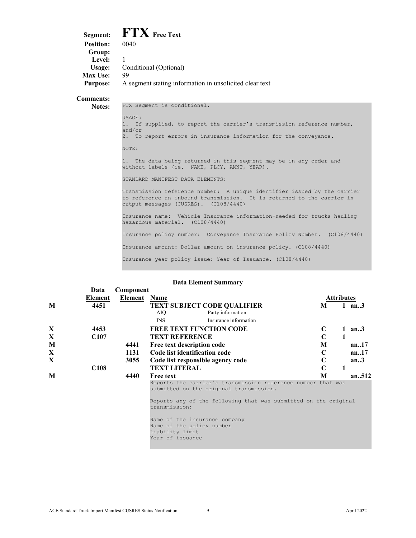|                  | Segment: FTX Free Text                                  |
|------------------|---------------------------------------------------------|
| <b>Position:</b> | 0040                                                    |
| Group:           |                                                         |
| Level:           |                                                         |
| Usage:           | Conditional (Optional)                                  |
| Max Use:         | 99                                                      |
| <b>Purpose:</b>  | A segment stating information in unsolicited clear text |
|                  |                                                         |

**Comments:**

Notes: FTX Segment is conditional.

USAGE: 1. If supplied, to report the carrier's transmission reference number, and/or 2. To report errors in insurance information for the conveyance. NOTE: 1. The data being returned in this segment may be in any order and without labels (ie. NAME, PLCY, AMNT, YEAR). STANDARD MANIFEST DATA ELEMENTS: Transmission reference number: A unique identifier issued by the carrier to reference an inbound transmission. It is returned to the carrier in output messages (CUSRES). (C108/4440)

Insurance name: Vehicle Insurance information-needed for trucks hauling hazardous material. (C108/4440)

Insurance policy number: Conveyance Insurance Policy Number. (C108/4440)

Insurance amount: Dollar amount on insurance policy. (C108/4440)

Insurance year policy issue: Year of Issuance. (C108/4440)

|   | Data             | Component    |                                                                                                         |             |                   |          |
|---|------------------|--------------|---------------------------------------------------------------------------------------------------------|-------------|-------------------|----------|
|   | Element          | Element Name |                                                                                                         |             | <b>Attributes</b> |          |
| M | 4451             |              | <b>TEXT SUBJECT CODE OUALIFIER</b><br>Party information<br>AIO                                          | M           |                   | 1 an $3$ |
|   |                  |              | Insurance information<br><b>INS</b>                                                                     |             |                   |          |
| X | 4453             |              | <b>FREE TEXT FUNCTION CODE</b>                                                                          | C           | $\mathbf{1}$      | an.3     |
| X | C107             |              | <b>TEXT REFERENCE</b>                                                                                   | $\mathbf C$ |                   |          |
| M |                  | 4441         | Free text description code                                                                              | M           |                   | an.17    |
| X |                  | 1131         | Code list identification code                                                                           | C           |                   | an.17    |
| X |                  | 3055         | Code list responsible agency code                                                                       | C           |                   | an.3     |
|   | C <sub>108</sub> |              | <b>TEXT LITERAL</b>                                                                                     | $\mathbf C$ | 1                 |          |
| M |                  | 4440         | <b>Free text</b>                                                                                        | М           |                   | an512    |
|   |                  |              | Reports the carrier's transmission reference number that was<br>submitted on the original transmission. |             |                   |          |
|   |                  |              | Reports any of the following that was submitted on the original<br>transmission:                        |             |                   |          |
|   |                  |              | Name of the insurance company<br>Name of the policy number<br>Liability limit<br>Year of issuance       |             |                   |          |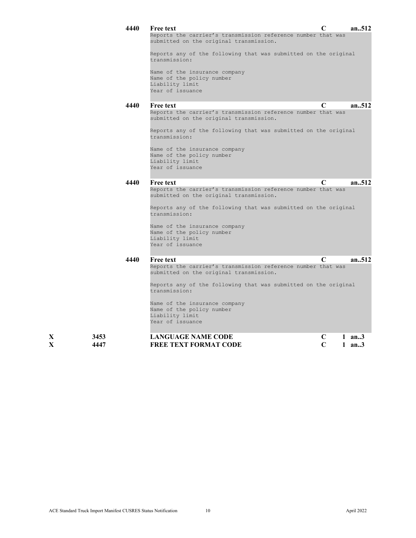|   |      | 4440 | Free text                                                                                               | C |          | an512  |
|---|------|------|---------------------------------------------------------------------------------------------------------|---|----------|--------|
|   |      |      | Reports the carrier's transmission reference number that was<br>submitted on the original transmission. |   |          |        |
|   |      |      | Reports any of the following that was submitted on the original<br>transmission:                        |   |          |        |
|   |      |      | Name of the insurance company                                                                           |   |          |        |
|   |      |      | Name of the policy number<br>Liability limit                                                            |   |          |        |
|   |      |      | Year of issuance                                                                                        |   |          |        |
|   |      | 4440 | <b>Free text</b>                                                                                        | C |          | an.512 |
|   |      |      | Reports the carrier's transmission reference number that was<br>submitted on the original transmission. |   |          |        |
|   |      |      | Reports any of the following that was submitted on the original<br>transmission:                        |   |          |        |
|   |      |      | Name of the insurance company                                                                           |   |          |        |
|   |      |      | Name of the policy number<br>Liability limit                                                            |   |          |        |
|   |      |      | Year of issuance                                                                                        |   |          |        |
|   |      | 4440 | <b>Free text</b>                                                                                        | C |          | an.512 |
|   |      |      | Reports the carrier's transmission reference number that was<br>submitted on the original transmission. |   |          |        |
|   |      |      | Reports any of the following that was submitted on the original<br>transmission:                        |   |          |        |
|   |      |      | Name of the insurance company                                                                           |   |          |        |
|   |      |      | Name of the policy number<br>Liability limit                                                            |   |          |        |
|   |      |      | Year of issuance                                                                                        |   |          |        |
|   |      | 4440 | <b>Free text</b>                                                                                        | C |          | an512  |
|   |      |      | Reports the carrier's transmission reference number that was<br>submitted on the original transmission. |   |          |        |
|   |      |      | Reports any of the following that was submitted on the original<br>transmission:                        |   |          |        |
|   |      |      | Name of the insurance company                                                                           |   |          |        |
|   |      |      | Name of the policy number<br>Liability limit                                                            |   |          |        |
|   |      |      | Year of issuance                                                                                        |   |          |        |
| X | 3453 |      | <b>LANGUAGE NAME CODE</b>                                                                               | C | $1$ an3  |        |
| X | 4447 |      | <b>FREE TEXT FORMAT CODE</b>                                                                            | C | 1 $an.3$ |        |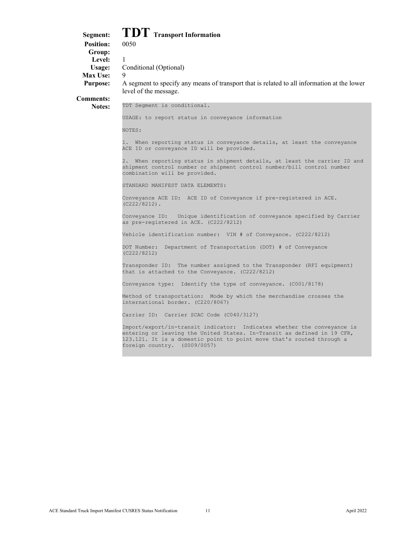# **Segment: TDT** Transport Information<br>Position: 0050

**Position: Group:** Level: 1 **Max Use:** 

**Usage:** Conditional (Optional)

**Purpose:** A segment to specify any means of transport that is related to all information at the lower level of the message.

**Comments:**

**Notes:** TDT Segment is conditional.

USAGE: to report status in conveyance information

NOTES:

1. When reporting status in conveyance details, at least the conveyance ACE ID or conveyance ID will be provided.

2. When reporting status in shipment details, at least the carrier ID and shipment control number or shipment control number/bill control number combination will be provided.

STANDARD MANIFEST DATA ELEMENTS:

Conveyance ACE ID: ACE ID of Conveyance if pre-registered in ACE. (C222/8212).

Conveyance ID: Unique identification of conveyance specified by Carrier as pre-registered in ACE. (C222/8212)

Vehicle identification number: VIN # of Conveyance. (C222/8212)

DOT Number: Department of Transportation (DOT) # of Conveyance (C222/8212)

Transponder ID: The number assigned to the Transponder (RFI equipment) that is attached to the Conveyance. (C222/8212)

Conveyance type: Identify the type of conveyance. (C001/8178)

Method of transportation: Mode by which the merchandise crosses the international border. (C220/8067)

Carrier ID: Carrier SCAC Code (C040/3127)

Import/export/in-transit indicator: Indicates whether the conveyance is entering or leaving the United States. In-Transit as defined in 19 CFR, 123.121. It is a domestic point to point move that's routed through a foreign country. (S009/0057)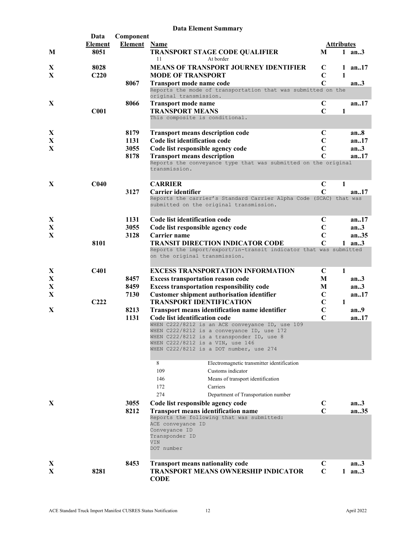|   | <b>Data Element Summary</b> |                     |                                                                                                                        |                |                   |          |  |  |
|---|-----------------------------|---------------------|------------------------------------------------------------------------------------------------------------------------|----------------|-------------------|----------|--|--|
|   | Data                        | Component           |                                                                                                                        |                |                   |          |  |  |
|   | Element                     | <b>Element</b> Name |                                                                                                                        |                | <b>Attributes</b> |          |  |  |
| M | 8051                        |                     | <b>TRANSPORT STAGE CODE QUALIFIER</b><br>At border<br>11                                                               | M              |                   | 1 an $3$ |  |  |
| X | 8028                        |                     | <b>MEANS OF TRANSPORT JOURNEY IDENTIFIER</b>                                                                           | $\mathbf C$    |                   | 1 an17   |  |  |
| X | C <sub>220</sub>            |                     | <b>MODE OF TRANSPORT</b>                                                                                               | $\mathbf C$    | 1                 |          |  |  |
|   |                             | 8067                | Transport mode name code                                                                                               | $\overline{C}$ |                   | an.3     |  |  |
|   |                             |                     | Reports the mode of transportation that was submitted on the<br>original transmission.                                 |                |                   |          |  |  |
| X |                             | 8066                | <b>Transport mode name</b>                                                                                             | C              |                   | an17     |  |  |
|   | C <sub>001</sub>            |                     | <b>TRANSPORT MEANS</b><br>This composite is conditional.                                                               | $\mathbf C$    | 1                 |          |  |  |
| X |                             | 8179                | <b>Transport means description code</b>                                                                                | C              |                   | an.8     |  |  |
| X |                             | 1131                | Code list identification code                                                                                          | $\mathbf C$    |                   | an.17    |  |  |
| X |                             | 3055                | Code list responsible agency code                                                                                      | $\mathbf C$    |                   | an.3     |  |  |
|   |                             | 8178                | <b>Transport means description</b>                                                                                     | $\mathbf C$    |                   | an.17    |  |  |
|   |                             |                     | Reports the conveyance type that was submitted on the original<br>transmission.                                        |                |                   |          |  |  |
| X | C <sub>040</sub>            |                     | <b>CARRIER</b>                                                                                                         | $\mathbf C$    | 1                 |          |  |  |
|   |                             | 3127                | Carrier identifier                                                                                                     | $\mathbf C$    |                   | an17     |  |  |
|   |                             |                     | Reports the carrier's Standard Carrier Alpha Code (SCAC) that was<br>submitted on the original transmission.           |                |                   |          |  |  |
| X |                             | 1131                | Code list identification code                                                                                          | $\mathbf C$    |                   | an17     |  |  |
| X |                             | 3055                | Code list responsible agency code                                                                                      | $\mathbf C$    |                   | an.3     |  |  |
| X |                             | 3128                | Carrier name                                                                                                           | $\mathbf C$    |                   | an35     |  |  |
|   | 8101                        |                     | <b>TRANSIT DIRECTION INDICATOR CODE</b>                                                                                | $\mathbf C$    |                   | $1$ an3  |  |  |
|   |                             |                     | Reports the import/export/in-transit indicator that was submitted<br>on the original transmission.                     |                |                   |          |  |  |
| X | C401                        |                     | <b>EXCESS TRANSPORTATION INFORMATION</b>                                                                               | $\mathbf C$    | $\mathbf{1}$      |          |  |  |
| X |                             | 8457                | <b>Excess transportation reason code</b>                                                                               | M              |                   | an.3     |  |  |
| X |                             | 8459                | <b>Excess transportation responsibility code</b>                                                                       | M              |                   | an.3     |  |  |
| X |                             | 7130                | <b>Customer shipment authorisation identifier</b>                                                                      | $\mathbf C$    |                   | an.17    |  |  |
|   | C <sub>222</sub>            |                     | <b>TRANSPORT IDENTIFICATION</b>                                                                                        | $\mathbf C$    | $\mathbf{1}$      |          |  |  |
| X |                             | 8213                | <b>Transport means identification name identifier</b>                                                                  | $\mathbf C$    |                   | an9      |  |  |
|   |                             | 1131                | Code list identification code<br>WHEN C222/8212 is an ACE conveyance ID, use 109                                       | $\mathbf C$    |                   | an17     |  |  |
|   |                             |                     | WHEN C222/8212 is a conveyance ID, use $172$                                                                           |                |                   |          |  |  |
|   |                             |                     | WHEN C222/8212 is a transponder ID, use 8                                                                              |                |                   |          |  |  |
|   |                             |                     | WHEN C222/8212 is a VIN, use 146                                                                                       |                |                   |          |  |  |
|   |                             |                     | WHEN C222/8212 is a DOT number, use 274                                                                                |                |                   |          |  |  |
|   |                             |                     | Electromagnetic transmitter identification<br>8                                                                        |                |                   |          |  |  |
|   |                             |                     | 109<br>Customs indicator                                                                                               |                |                   |          |  |  |
|   |                             |                     | 146<br>Means of transport identification                                                                               |                |                   |          |  |  |
|   |                             |                     | 172<br>Carriers                                                                                                        |                |                   |          |  |  |
|   |                             |                     | 274<br>Department of Transportation number                                                                             |                |                   |          |  |  |
| X |                             | 3055                | Code list responsible agency code                                                                                      | $\mathbf C$    |                   | an3      |  |  |
|   |                             | 8212                | <b>Transport means identification name</b>                                                                             | $\mathbf C$    |                   | an.35    |  |  |
|   |                             |                     | Reports the following that was submitted:<br>ACE conveyance ID<br>Conveyance ID<br>Transponder ID<br>VIN<br>DOT number |                |                   |          |  |  |
| X |                             | 8453                | <b>Transport means nationality code</b>                                                                                | $\mathbf C$    |                   | an.3     |  |  |
| X | 8281                        |                     | <b>TRANSPORT MEANS OWNERSHIP INDICATOR</b><br><b>CODE</b>                                                              | $\mathbf C$    |                   | 1 an3    |  |  |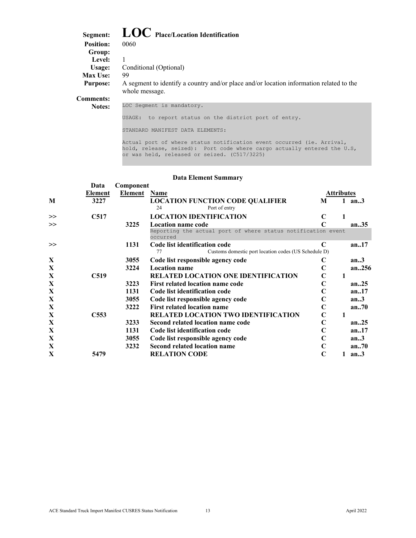| Segment:         | $\mathbf{LOC}$ Place/Location Identification                                                              |
|------------------|-----------------------------------------------------------------------------------------------------------|
| <b>Position:</b> | 0060                                                                                                      |
| Group:           |                                                                                                           |
| Level:           |                                                                                                           |
| Usage:           | Conditional (Optional)                                                                                    |
| Max Use:         | 99                                                                                                        |
| <b>Purpose:</b>  | A segment to identify a country and/or place and/or location information related to the<br>whole message. |
| <b>Comments:</b> |                                                                                                           |
| Notes:           | LOC Seqment is mandatory.                                                                                 |
|                  | to report status on the district port of entry.<br>USAGE:                                                 |
|                  | MANIFEST DATA ELEMENTS:<br>STANDARD                                                                       |

Actual port of where status notification event occurred (ie. Arrival, hold, release, seized): Port code where cargo actually entered the U.S, or was held, released or seized. (C517/3225)

|   | Data             | Component |                                                                          |                   |   |          |
|---|------------------|-----------|--------------------------------------------------------------------------|-------------------|---|----------|
|   | Element          | Element   | Name                                                                     | <b>Attributes</b> |   |          |
| M | 3227             |           | <b>LOCATION FUNCTION CODE QUALIFIER</b>                                  | M                 |   | 1 an $3$ |
|   |                  |           | Port of entry<br>24                                                      |                   |   |          |
| > | C517             |           | <b>LOCATION IDENTIFICATION</b>                                           | C                 | 1 |          |
| > |                  | 3225      | <b>Location name code</b>                                                |                   |   | an35     |
|   |                  |           | Reporting the actual port of where status notification event<br>occurred |                   |   |          |
| > |                  | 1131      | Code list identification code                                            | $\mathbf C$       |   | an.17    |
|   |                  |           | Customs domestic port location codes (US Schedule D)<br>77               |                   |   |          |
| X |                  | 3055      | Code list responsible agency code                                        | C                 |   | an.3     |
| X |                  | 3224      | <b>Location name</b>                                                     | C                 |   | an256    |
| X | C <sub>519</sub> |           | RELATED LOCATION ONE IDENTIFICATION                                      | C                 | 1 |          |
| X |                  | 3223      | First related location name code                                         | C                 |   | an.25    |
| X |                  | 1131      | Code list identification code                                            |                   |   | an.17    |
| X |                  | 3055      | Code list responsible agency code                                        | C                 |   | an.3     |
| X |                  | 3222      | <b>First related location name</b>                                       | C                 |   | an.70    |
| X | C <sub>553</sub> |           | <b>RELATED LOCATION TWO IDENTIFICATION</b>                               | $\mathbf C$       | 1 |          |
| X |                  | 3233      | Second related location name code                                        | C                 |   | an.25    |
| X |                  | 1131      | Code list identification code                                            |                   |   | an.17    |
| X |                  | 3055      | Code list responsible agency code                                        | C                 |   | an.3     |
| X |                  | 3232      | Second related location name                                             | C                 |   | an70     |
| X | 5479             |           | <b>RELATION CODE</b>                                                     | C                 | 1 | an.3     |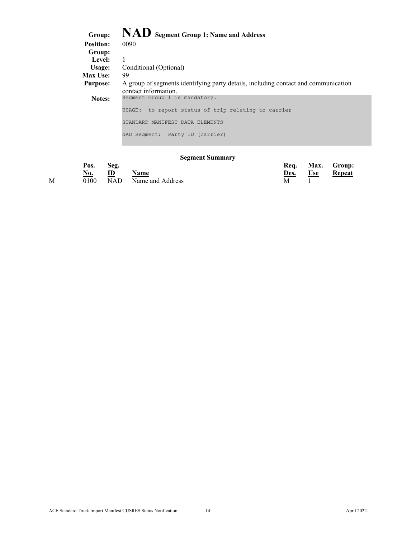# <span id="page-14-0"></span>**Group: NAD Segment Group 1: Name and Address**

| <b>Position:</b> | 0090                                                                                                       |
|------------------|------------------------------------------------------------------------------------------------------------|
| Group:           |                                                                                                            |
| Level:           |                                                                                                            |
| Usage:           | Conditional (Optional)                                                                                     |
| Max Use:         | 99                                                                                                         |
| <b>Purpose:</b>  | A group of segments identifying party details, including contact and communication<br>contact information. |
| <b>Notes:</b>    | Segment Group 1 is mandatory.                                                                              |
|                  | to report status of trip relating to carrier<br>USAGE:                                                     |
|                  | STANDARD MANIFEST DATA ELEMENTS                                                                            |
|                  | NAD Segment: Party ID (carrier)                                                                            |

### **Segment Summary**

|   | Pos.       | Seg. |                           | Reg. |            | Max. Group: |
|---|------------|------|---------------------------|------|------------|-------------|
|   | <u>No.</u> | ID   | <b>Name</b>               | Des. | <b>Use</b> | Repeat      |
| М |            |      | 0100 NAD Name and Address |      |            |             |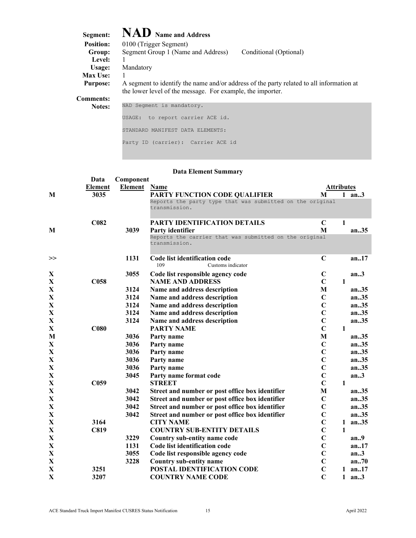<span id="page-15-0"></span>

| Segment:         | <b>NAD</b> Name and Address                                                                                                                            |
|------------------|--------------------------------------------------------------------------------------------------------------------------------------------------------|
| <b>Position:</b> | 0100 (Trigger Segment)                                                                                                                                 |
| Group:           | Segment Group 1 (Name and Address)<br>Conditional (Optional)                                                                                           |
| <b>Level:</b>    |                                                                                                                                                        |
| Usage:           | Mandatory                                                                                                                                              |
| <b>Max Use:</b>  |                                                                                                                                                        |
| <b>Purpose:</b>  | A segment to identify the name and/or address of the party related to all information at<br>the lower level of the message. For example, the importer. |
| Comments:        |                                                                                                                                                        |
| <b>Notes:</b>    | NAD Segment is mandatory.                                                                                                                              |
|                  | to report carrier ACE id.<br>USAGE:                                                                                                                    |

Party ID (carrier): Carrier ACE id

STANDARD MANIFEST DATA ELEMENTS:

|              | Data             | Component |                                                                            |                   |              |           |
|--------------|------------------|-----------|----------------------------------------------------------------------------|-------------------|--------------|-----------|
|              | <b>Element</b>   | Element   | Name                                                                       | <b>Attributes</b> |              |           |
| M            | 3035             |           | PARTY FUNCTION CODE QUALIFIER                                              | M                 |              | $1$ an3   |
|              |                  |           | Reports the party type that was submitted on the original<br>transmission. |                   |              |           |
|              | C <sub>082</sub> |           | PARTY IDENTIFICATION DETAILS                                               | $\mathbf C$       | 1            |           |
| M            |                  | 3039      | Party identifier                                                           | M                 |              | an.35     |
|              |                  |           | Reports the carrier that was submitted on the original<br>transmission.    |                   |              |           |
| >>           |                  | 1131      | Code list identification code<br>109<br>Customs indicator                  | $\mathbf C$       |              | an17      |
| X            |                  | 3055      | Code list responsible agency code                                          | $\mathbf C$       |              | an.3      |
| X            | C <sub>058</sub> |           | <b>NAME AND ADDRESS</b>                                                    | $\mathbf C$       | $\mathbf{1}$ |           |
| $\mathbf X$  |                  | 3124      | Name and address description                                               | M                 |              | an35      |
| X            |                  | 3124      | Name and address description                                               | $\mathbf C$       |              | an.35     |
| $\mathbf X$  |                  | 3124      | Name and address description                                               | $\mathbf C$       |              | an35      |
| X            |                  | 3124      | Name and address description                                               | $\mathbf C$       |              | an35      |
| X            |                  | 3124      | Name and address description                                               | $\overline{C}$    |              | an.35     |
| $\mathbf X$  | C080             |           | <b>PARTY NAME</b>                                                          | $\overline{C}$    | $\mathbf{1}$ |           |
| M            |                  | 3036      | Party name                                                                 | M                 |              | an.35     |
| X            |                  | 3036      | Party name                                                                 | $\mathbf C$       |              | an35      |
| $\mathbf X$  |                  | 3036      | Party name                                                                 | $\overline{C}$    |              | an35      |
| $\mathbf X$  |                  | 3036      | Party name                                                                 | $\overline{C}$    |              | an35      |
| $\mathbf X$  |                  | 3036      | Party name                                                                 | $\overline{C}$    |              | an35      |
| X            |                  | 3045      | Party name format code                                                     | $\mathbf C$       |              | an.3      |
| X            | C <sub>059</sub> |           | <b>STREET</b>                                                              | $\mathbf C$       | $\mathbf{1}$ |           |
| X            |                  | 3042      | Street and number or post office box identifier                            | M                 |              | an.35     |
| X            |                  | 3042      | Street and number or post office box identifier                            | $\mathbf C$       |              | an35      |
| $\mathbf X$  |                  | 3042      | Street and number or post office box identifier                            | $\mathbf C$       |              | an35      |
| $\mathbf X$  |                  | 3042      | Street and number or post office box identifier                            | $\mathbf C$       |              | an35      |
| X            | 3164             |           | <b>CITY NAME</b>                                                           | $\mathbf C$       | $\mathbf{1}$ | an35      |
| X            | <b>C819</b>      |           | <b>COUNTRY SUB-ENTITY DETAILS</b>                                          | $\mathbf C$       | 1            |           |
| $\mathbf{X}$ |                  | 3229      | Country sub-entity name code                                               | $\overline{C}$    |              | an.9      |
| $\mathbf X$  |                  | 1131      | Code list identification code                                              | $\mathbf C$       |              | an17      |
| $\mathbf X$  |                  | 3055      | Code list responsible agency code                                          | $\mathbf C$       |              | an.3      |
| X            |                  | 3228      | Country sub-entity name                                                    | $\overline{C}$    |              | an.70     |
| X            | 3251             |           | POSTAL IDENTIFICATION CODE                                                 | $\mathbf C$       |              | 1 an $17$ |
| X            | 3207             |           | <b>COUNTRY NAME CODE</b>                                                   | $\overline{C}$    |              | $1$ an3   |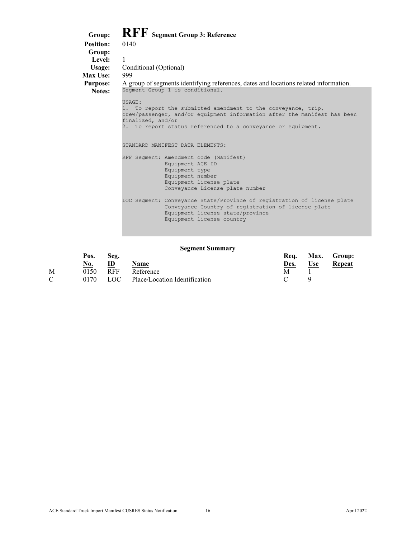<span id="page-16-0"></span>

| RFF Segment Group 3: Reference<br><b>Position:</b><br>0140<br>Group:<br>Level:<br>$\mathbf{1}$<br>Conditional (Optional)<br>Usage:<br>Max Use:<br>999                                           |  |
|-------------------------------------------------------------------------------------------------------------------------------------------------------------------------------------------------|--|
|                                                                                                                                                                                                 |  |
|                                                                                                                                                                                                 |  |
|                                                                                                                                                                                                 |  |
|                                                                                                                                                                                                 |  |
|                                                                                                                                                                                                 |  |
| A group of segments identifying references, dates and locations related information.<br><b>Purpose:</b><br>Segment Group 1 is conditional.<br>Notes:                                            |  |
|                                                                                                                                                                                                 |  |
| USAGE:                                                                                                                                                                                          |  |
| 1. To report the submitted amendment to the conveyance, trip,<br>crew/passenger, and/or equipment information after the manifest has been<br>finalized, and/or                                  |  |
| 2. To report status referenced to a conveyance or equipment.                                                                                                                                    |  |
| STANDARD MANIFEST DATA ELEMENTS:                                                                                                                                                                |  |
| RFF Segment: Amendment code (Manifest)                                                                                                                                                          |  |
| Equipment ACE ID                                                                                                                                                                                |  |
| Equipment type                                                                                                                                                                                  |  |
| Equipment number                                                                                                                                                                                |  |
| Equipment license plate                                                                                                                                                                         |  |
| Conveyance License plate number                                                                                                                                                                 |  |
| LOC Seqment: Conveyance State/Province of registration of license plate<br>Conveyance Country of registration of license plate<br>Equipment license state/province<br>Equipment license country |  |

#### **Segment Summary**

|               | Pos.       | Seg.         |                                        | Rea. |            | Max. Group:   |
|---------------|------------|--------------|----------------------------------------|------|------------|---------------|
|               | <u>No.</u> | $\mathbf{D}$ | <u>Name</u>                            | Des. | <b>Use</b> | <b>Repeat</b> |
| M             | 0150       | RFF          | Reference                              |      |            |               |
| $\mathcal{C}$ |            |              | 0170 LOC Place/Location Identification |      |            |               |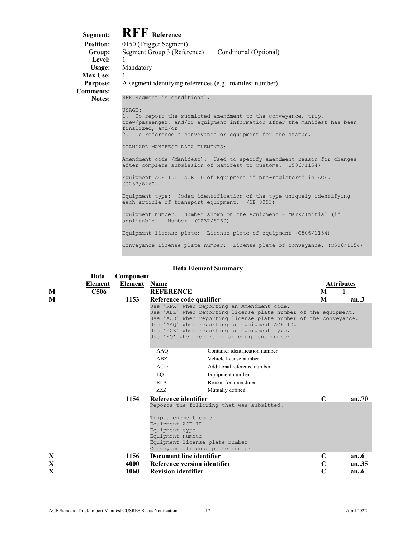#### <span id="page-17-0"></span>**Segment: RFF** Reference<br>**Position:** 0150 (Trigger Segmer 0150 (Trigger Segment) Group: Segment Group 3 (Reference) Conditional (Optional) **Level:** 1 **Usage:** Mandatory **Max Use:** 1 **Purpose:** A segment identifying references (e.g. manifest number). **Comments: Notes:** RFF Segment is conditional. USAGE: 1. To report the submitted amendment to the conveyance, trip, crew/passenger, and/or equipment information after the manifest has been finalized, and/or 2. To reference a conveyance or equipment for the status. STANDARD MANIFEST DATA ELEMENTS: Amendment code (Manifest): Used to specify amendment reason for changes after complete submission of Manifest to Customs. (C506/1154) Equipment ACE ID: ACE ID of Equipment if pre-registered in ACE. (C237/8260) Equipment type: Coded identification of the type uniquely identifying each article of transport equipment. (DE 8053) Equipment number: Number shown on the equipment - Mark/Initial (if applicable) + Number. (C237/8260) Equipment license plate: License plate of equipment (C506/1154) Conveyance License plate number: License plate of conveyance. (C506/1154)

|             |             |                      |                                                                                        | раца елешени эмпинан у                                                                                                                                                                                                                                                                                                             |                       |                       |
|-------------|-------------|----------------------|----------------------------------------------------------------------------------------|------------------------------------------------------------------------------------------------------------------------------------------------------------------------------------------------------------------------------------------------------------------------------------------------------------------------------------|-----------------------|-----------------------|
|             | Data        | Component            |                                                                                        |                                                                                                                                                                                                                                                                                                                                    |                       |                       |
|             | Element     | <b>Element</b> Name  |                                                                                        |                                                                                                                                                                                                                                                                                                                                    |                       | <b>Attributes</b>     |
| M           | <b>C506</b> |                      | <b>REFERENCE</b>                                                                       |                                                                                                                                                                                                                                                                                                                                    | M                     | 1                     |
| M           |             | 1153                 | Reference code qualifier                                                               |                                                                                                                                                                                                                                                                                                                                    | M                     | an.3                  |
|             |             |                      |                                                                                        | Use 'RFA' when reporting an Amendment code.<br>Use 'ABZ' when reporting license plate number of the equipment.<br>Use 'ACD' when reporting license plate number of the conveyance.<br>Use 'AAQ' when reporting an equipment ACE ID.<br>Use 'ZZZ' when reporting an equipment type.<br>Use 'EQ' when reporting an equipment number. |                       |                       |
|             |             |                      | AAO                                                                                    | Container identification number                                                                                                                                                                                                                                                                                                    |                       |                       |
|             |             |                      | ABZ                                                                                    | Vehicle license number                                                                                                                                                                                                                                                                                                             |                       |                       |
|             |             |                      | <b>ACD</b>                                                                             | Additional reference number                                                                                                                                                                                                                                                                                                        |                       |                       |
|             |             |                      | EQ                                                                                     | Equipment number                                                                                                                                                                                                                                                                                                                   |                       |                       |
|             |             |                      | <b>RFA</b>                                                                             | Reason for amendment                                                                                                                                                                                                                                                                                                               |                       |                       |
|             |             |                      | <b>ZZZ</b>                                                                             | Mutually defined                                                                                                                                                                                                                                                                                                                   |                       |                       |
|             |             | 1154                 | Reference identifier                                                                   |                                                                                                                                                                                                                                                                                                                                    | $\mathbf C$           | an.70                 |
|             |             |                      | Trip amendment code<br>Equipment ACE ID<br>Equipment type<br>Equipment number          | Reports the following that was submitted:<br>Equipment license plate number<br>Conveyance license plate number                                                                                                                                                                                                                     |                       |                       |
| X<br>X<br>X |             | 1156<br>4000<br>1060 | Document line identifier<br>Reference version identifier<br><b>Revision identifier</b> |                                                                                                                                                                                                                                                                                                                                    | $\mathbf C$<br>C<br>C | an.6<br>an.35<br>an.6 |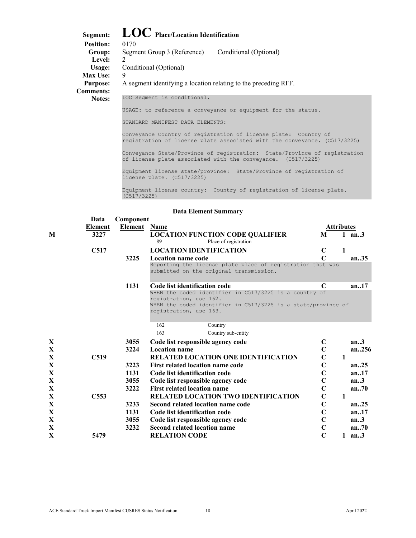# <span id="page-18-0"></span>**Segment: LOC Place/Location Identification**

| эедшені.         |                                                                 |
|------------------|-----------------------------------------------------------------|
| <b>Position:</b> | 0170                                                            |
| Group:           | Conditional (Optional)<br>Segment Group 3 (Reference)           |
| Level:           | $\mathcal{D}_{\mathcal{L}}$                                     |
| Usage:           | Conditional (Optional)                                          |
| <b>Max Use:</b>  | 9                                                               |
| <b>Purpose:</b>  | A segment identifying a location relating to the preceding RFF. |
| <b>Comments:</b> |                                                                 |
| <b>Notes:</b>    | LOC Segment is conditional.                                     |
|                  | USAGE: to reference a conveyance or equipment for the status.   |
|                  | MANIFEST DATA ELEMENTS:<br>STANDARD                             |

Conveyance Country of registration of license plate: Country of registration of license plate associated with the conveyance. (C517/3225)

Conveyance State/Province of registration: State/Province of registration of license plate associated with the conveyance. (C517/3225)

Equipment license state/province: State/Province of registration of license plate. (C517/3225)

Equipment license country: Country of registration of license plate. (C517/3225)

|             | Data             | Component      |                                                                                                       |                   |              |          |
|-------------|------------------|----------------|-------------------------------------------------------------------------------------------------------|-------------------|--------------|----------|
|             | <b>Element</b>   | <b>Element</b> | <b>Name</b>                                                                                           | <b>Attributes</b> |              |          |
| M           | 3227             |                | <b>LOCATION FUNCTION CODE QUALIFIER</b><br>89<br>Place of registration                                | M                 |              | 1 $an.3$ |
|             | C517             |                | <b>LOCATION IDENTIFICATION</b>                                                                        | $\mathbf C$       | 1            |          |
|             |                  | 3225           | <b>Location name code</b>                                                                             | $\mathsf{C}$      |              | an35     |
|             |                  |                | Reporting the license plate place of registration that was<br>submitted on the original transmission. |                   |              |          |
|             |                  | 1131           | Code list identification code                                                                         | C                 |              | an17     |
|             |                  |                | WHEN the coded identifier in C517/3225 is a country of                                                |                   |              |          |
|             |                  |                | registration, use 162.<br>WHEN the coded identifier in C517/3225 is a state/province of               |                   |              |          |
|             |                  |                | registration, use 163.                                                                                |                   |              |          |
|             |                  |                | 162<br>Country                                                                                        |                   |              |          |
|             |                  |                | 163<br>Country sub-entity                                                                             |                   |              |          |
| X           |                  | 3055           | Code list responsible agency code                                                                     | C                 |              | an.3     |
| X           |                  | 3224           | <b>Location name</b>                                                                                  | $\overline{C}$    |              | an.256   |
| X           | C <sub>519</sub> |                | RELATED LOCATION ONE IDENTIFICATION                                                                   | $\mathbf C$       | 1            |          |
| X           |                  | 3223           | First related location name code                                                                      | $\overline{C}$    |              | an.25    |
| $\mathbf X$ |                  | 1131           | Code list identification code                                                                         | $\mathbf C$       |              | an.17    |
| X           |                  | 3055           | Code list responsible agency code                                                                     | $\mathbf C$       |              | an.3     |
| $\mathbf X$ |                  | 3222           | <b>First related location name</b>                                                                    | $\overline{C}$    |              | an.70    |
| X           | C <sub>553</sub> |                | RELATED LOCATION TWO IDENTIFICATION                                                                   | $\mathbf C$       | 1            |          |
| X           |                  | 3233           | Second related location name code                                                                     | $\overline{C}$    |              | an.25    |
| $\mathbf X$ |                  | 1131           | Code list identification code                                                                         | $\mathbf C$       |              | an.17    |
| $\mathbf X$ |                  | 3055           | Code list responsible agency code                                                                     | $\mathbf C$       |              | an.3     |
| $\mathbf X$ |                  | 3232           | <b>Second related location name</b>                                                                   | $\mathbf C$       |              | an.70    |
| X           | 5479             |                | <b>RELATION CODE</b>                                                                                  | $\mathbf C$       | $\mathbf{1}$ | an.3     |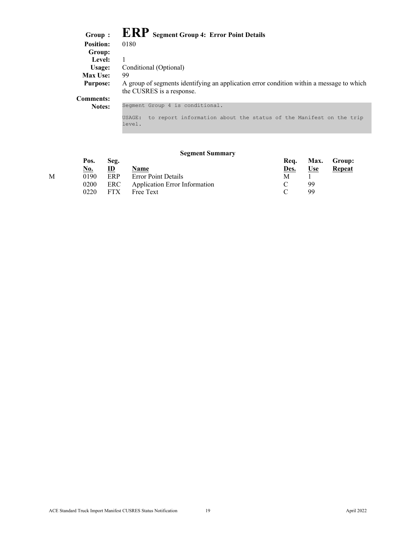| Group :          | <b>ERP</b> Segment Group 4: Error Point Details                                                                       |
|------------------|-----------------------------------------------------------------------------------------------------------------------|
| <b>Position:</b> | 0180                                                                                                                  |
| Group:           |                                                                                                                       |
| Level:           |                                                                                                                       |
| Usage:           | Conditional (Optional)                                                                                                |
| <b>Max Use:</b>  | 99                                                                                                                    |
| <b>Purpose:</b>  | A group of segments identifying an application error condition within a message to which<br>the CUSRES is a response. |
| <b>Comments:</b> |                                                                                                                       |
| Notes:           | Segment Group 4 is conditional.                                                                                       |
|                  | to report information about the status of the Manifest on the trip<br>USAGE:<br>level.                                |

### **Segment Summary**

| Pos.       | Seg.         |             | Rea.                                                                     |            | Max. Group: |
|------------|--------------|-------------|--------------------------------------------------------------------------|------------|-------------|
| <u>No.</u> | $\mathbf{D}$ | <b>Name</b> | <u>Des.</u>                                                              | <u>Use</u> | Repeat      |
| 0190       | ERP          |             | М                                                                        |            |             |
| 0200       |              |             |                                                                          | 99         |             |
| 0220       |              | Free Text   |                                                                          | 99         |             |
|            |              |             | <b>Error Point Details</b><br>ERC Application Error Information<br>. FTX |            |             |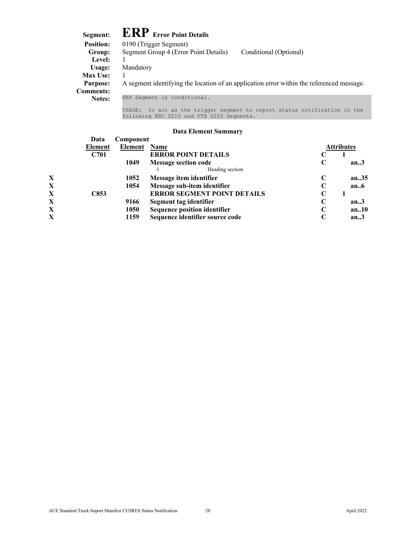<span id="page-20-0"></span>

| Segment:         | <b>ERP</b> Error Point Details                                                            |
|------------------|-------------------------------------------------------------------------------------------|
| <b>Position:</b> | 0190 (Trigger Segment)                                                                    |
| Group:           | Segment Group 4 (Error Point Details)<br>Conditional (Optional)                           |
| Level:           |                                                                                           |
| Usage:           | Mandatory                                                                                 |
| <b>Max Use:</b>  |                                                                                           |
| <b>Purpose:</b>  | A segment identifying the location of an application error within the referenced message. |
| <b>Comments:</b> |                                                                                           |
| <b>Notes:</b>    | ERP Segment is conditional.                                                               |
|                  | to act as the trigger segment to report status notification in the<br>USAGE:              |

#### **Data Element Summary**

following ERC 0210 and FTX 0220 Segments.

| Data    |      |                                     |                                  |                   |
|---------|------|-------------------------------------|----------------------------------|-------------------|
| Element |      |                                     |                                  | <b>Attributes</b> |
| C701    |      | <b>ERROR POINT DETAILS</b>          |                                  |                   |
|         | 1049 | <b>Message section code</b>         | C                                | an.3              |
|         |      | Heading section                     |                                  |                   |
|         | 1052 | Message item identifier             |                                  | an35              |
|         | 1054 | Message sub-item identifier         | $\mathbf C$                      | an.6              |
| C853    |      | <b>ERROR SEGMENT POINT DETAILS</b>  | $\mathbf C$                      |                   |
|         | 9166 | Segment tag identifier              | $\mathbf C$                      | an.3              |
|         | 1050 | <b>Sequence position identifier</b> | $\mathbf C$                      | an.10             |
|         | 1159 | Sequence identifier source code     |                                  | an.3              |
|         |      |                                     | Component<br><b>Element</b> Name |                   |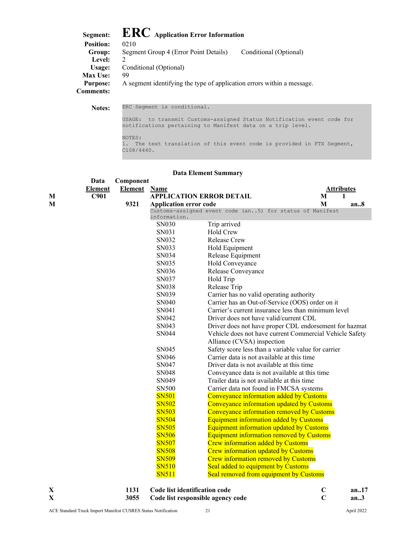| <b>Position:</b> | <b>ERC</b> Application Error Information<br>0210                       |                        |
|------------------|------------------------------------------------------------------------|------------------------|
| Group:           | Segment Group 4 (Error Point Details)                                  | Conditional (Optional) |
| Level:           | $\mathcal{D}$                                                          |                        |
| Usage:           | Conditional (Optional)                                                 |                        |
| Max Use:         | 99                                                                     |                        |
| <b>Purpose:</b>  | A segment identifying the type of application errors within a message. |                        |
| <b>Comments:</b> |                                                                        |                        |

**Notes:** ERC Segment is conditional. USAGE: to transmit Customs-assigned Status Notification event code for notifications pertaining to Manifest data on a trip level. NOTES: 1. The text translation of this event code is provided in FTX Segment, C108/4440.

| <b>Data Element Summary</b> |                |                |                                 |                                                                                             |                   |  |
|-----------------------------|----------------|----------------|---------------------------------|---------------------------------------------------------------------------------------------|-------------------|--|
|                             | Data           | Component      |                                 |                                                                                             |                   |  |
|                             | <b>Element</b> | <b>Element</b> | <b>Name</b>                     |                                                                                             | <b>Attributes</b> |  |
| М                           | C901           |                | <b>APPLICATION ERROR DETAIL</b> |                                                                                             | 1<br>M            |  |
| M                           |                | 9321           | <b>Application error code</b>   |                                                                                             | M<br>an.8         |  |
|                             |                |                | information.                    | Customs-assigned event code (an5) for status of Manifest                                    |                   |  |
|                             |                |                | SN030                           | Trip arrived                                                                                |                   |  |
|                             |                |                | SN031                           | Hold Crew                                                                                   |                   |  |
|                             |                |                | SN032                           | Release Crew                                                                                |                   |  |
|                             |                |                | SN033                           | Hold Equipment                                                                              |                   |  |
|                             |                |                | SN034                           | Release Equipment                                                                           |                   |  |
|                             |                |                | SN035                           | Hold Conveyance                                                                             |                   |  |
|                             |                |                | SN036                           | Release Conveyance                                                                          |                   |  |
|                             |                |                | SN037                           | Hold Trip                                                                                   |                   |  |
|                             |                |                | SN038                           | Release Trip                                                                                |                   |  |
|                             |                |                | SN039                           | Carrier has no valid operating authority                                                    |                   |  |
|                             |                |                | SN040                           | Carrier has an Out-of-Service (OOS) order on it                                             |                   |  |
|                             |                |                | SN041                           | Carrier's current insurance less than minimum level                                         |                   |  |
|                             |                |                | SN042                           | Driver does not have valid/current CDL                                                      |                   |  |
|                             |                |                | SN043                           | Driver does not have proper CDL endorsement for hazmat                                      |                   |  |
|                             |                |                | SN044                           | Vehicle does not have current Commercial Vehicle Safety                                     |                   |  |
|                             |                |                |                                 | Alliance (CVSA) inspection                                                                  |                   |  |
|                             |                |                | SN045                           | Safety score less than a variable value for carrier                                         |                   |  |
|                             |                |                | SN046                           | Carrier data is not available at this time                                                  |                   |  |
|                             |                |                | SN047                           | Driver data is not available at this time                                                   |                   |  |
|                             |                |                | SN048                           | Conveyance data is not available at this time                                               |                   |  |
|                             |                |                | SN049                           | Trailer data is not available at this time                                                  |                   |  |
|                             |                |                | <b>SN500</b>                    | Carrier data not found in FMCSA systems                                                     |                   |  |
|                             |                |                | <b>SN501</b>                    | Conveyance information added by Customs                                                     |                   |  |
|                             |                |                | <b>SN502</b>                    | Conveyance information updated by Customs                                                   |                   |  |
|                             |                |                | <b>SN503</b>                    | Conveyance information removed by Customs                                                   |                   |  |
|                             |                |                | <b>SN504</b>                    | <b>Equipment information added by Customs</b>                                               |                   |  |
|                             |                |                | <b>SN505</b>                    | <b>Equipment information updated by Customs</b>                                             |                   |  |
|                             |                |                | <b>SN506</b><br><b>SN507</b>    | <b>Equipment information removed by Customs</b><br><b>Crew information added by Customs</b> |                   |  |
|                             |                |                | <b>SN508</b>                    | <b>Crew information updated by Customs</b>                                                  |                   |  |
|                             |                |                | <b>SN509</b>                    | <b>Crew information removed by Customs</b>                                                  |                   |  |
|                             |                |                | <b>SN510</b>                    | Seal added to equipment by Customs                                                          |                   |  |
|                             |                |                | <b>SN511</b>                    | Seal removed from equipment by Customs                                                      |                   |  |
|                             |                |                |                                 |                                                                                             |                   |  |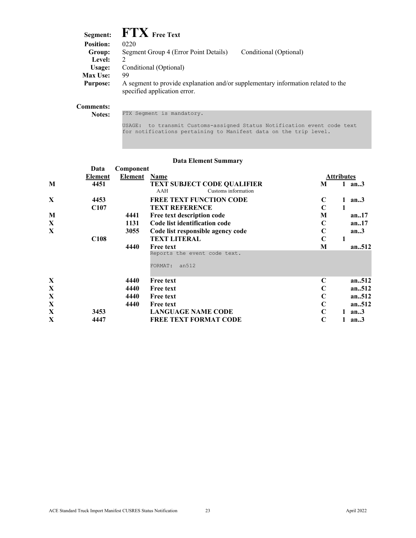| $\boldsymbol{\mathrm{FTX}}$ Free Text |                                                                                  |
|---------------------------------------|----------------------------------------------------------------------------------|
| 0220                                  |                                                                                  |
| Segment Group 4 (Error Point Details) | Conditional (Optional)                                                           |
|                                       |                                                                                  |
| Conditional (Optional)                |                                                                                  |
| 99                                    |                                                                                  |
| specified application error.          |                                                                                  |
|                                       | A segment to provide explanation and/or supplementary information related to the |

#### **Comments:**

Notes: FTX Segment is mandatory.

USAGE: to transmit Customs-assigned Status Notification event code text for notifications pertaining to Manifest data on the trip level.

|              | Data             | Component |                                                                  |                   |        |
|--------------|------------------|-----------|------------------------------------------------------------------|-------------------|--------|
|              | <b>Element</b>   | Element   | Name                                                             | <b>Attributes</b> |        |
| M            | 4451             |           | <b>TEXT SUBJECT CODE QUALIFIER</b><br>AAH<br>Customs information | $\mathbf{1}$<br>M | an3    |
| X            | 4453             |           | <b>FREE TEXT FUNCTION CODE</b>                                   | $\mathbf C$<br>1  | an.3   |
|              | C <sub>107</sub> |           | <b>TEXT REFERENCE</b>                                            | $\mathbf C$<br>1  |        |
| M            |                  | 4441      | Free text description code                                       | M                 | an17   |
| X            |                  | 1131      | Code list identification code                                    | C                 | an.17  |
| X            |                  | 3055      | Code list responsible agency code                                | $\mathbf C$       | an.3   |
|              | C <sub>108</sub> |           | <b>TEXT LITERAL</b>                                              | $\mathbf C$<br>1  |        |
|              |                  | 4440      | <b>Free text</b>                                                 | M                 | an512  |
|              |                  |           | Reports the event code text.<br>an512<br>FORMAT:                 |                   |        |
| $\mathbf{X}$ |                  | 4440      | <b>Free text</b>                                                 | $\mathbf C$       | an.512 |
| X            |                  | 4440      | <b>Free text</b>                                                 | $\mathbf C$       | an512  |
| X            |                  | 4440      | <b>Free text</b>                                                 | $\mathbf C$       | an512  |
| X            |                  | 4440      | Free text                                                        | $\mathbf C$       | an512  |
| $\mathbf X$  | 3453             |           | <b>LANGUAGE NAME CODE</b>                                        | $\mathbf C$       | an.3   |
| X            | 4447             |           | <b>FREE TEXT FORMAT CODE</b>                                     | $\mathbf C$       | an.3   |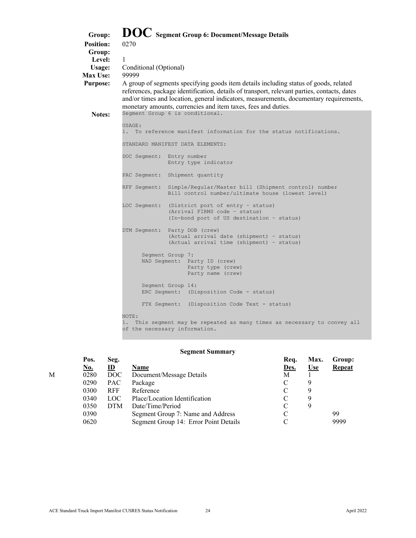<span id="page-24-0"></span>

| Group:           |                           | DOC Segment Group 6: Document/Message Details                                                                                                                                                                                                                                                                                                  |
|------------------|---------------------------|------------------------------------------------------------------------------------------------------------------------------------------------------------------------------------------------------------------------------------------------------------------------------------------------------------------------------------------------|
| <b>Position:</b> | 0270                      |                                                                                                                                                                                                                                                                                                                                                |
| Group:           |                           |                                                                                                                                                                                                                                                                                                                                                |
| Level:           | -1                        |                                                                                                                                                                                                                                                                                                                                                |
| Usage:           | Conditional (Optional)    |                                                                                                                                                                                                                                                                                                                                                |
| Max Use:         | 99999                     |                                                                                                                                                                                                                                                                                                                                                |
| <b>Purpose:</b>  |                           | A group of segments specifying goods item details including status of goods, related<br>references, package identification, details of transport, relevant parties, contacts, dates<br>and/or times and location, general indicators, measurements, documentary requirements,<br>monetary amounts, currencies and item taxes, fees and duties. |
| Notes:           |                           | Segment Group 6 is conditional.                                                                                                                                                                                                                                                                                                                |
|                  | USAGE:                    |                                                                                                                                                                                                                                                                                                                                                |
|                  |                           | 1. To reference manifest information for the status notifications.                                                                                                                                                                                                                                                                             |
|                  |                           | STANDARD MANIFEST DATA ELEMENTS:                                                                                                                                                                                                                                                                                                               |
|                  | DOC Segment: Entry number | Entry type indicator                                                                                                                                                                                                                                                                                                                           |
|                  |                           | PAC Segment: Shipment quantity                                                                                                                                                                                                                                                                                                                 |
|                  | RFF Segment:              | Simple/Regular/Master bill (Shipment control) number<br>Bill control number/ultimate house (lowest level)                                                                                                                                                                                                                                      |
|                  |                           | LOC Segment: (District port of entry - status)<br>(Arrival FIRMS code - status)<br>(In-bond port of US destination - status)                                                                                                                                                                                                                   |
|                  |                           |                                                                                                                                                                                                                                                                                                                                                |
|                  | DTM Segment:              | Party DOB (crew)<br>(Actual arrival date (shipment) - status)<br>(Actual arrival time (shipment) - status)                                                                                                                                                                                                                                     |
|                  |                           | Segment Group 7:<br>NAD Segment: Party ID (crew)<br>Party type (crew)<br>Party name (crew)                                                                                                                                                                                                                                                     |
|                  |                           | Segment Group 14:<br>ERC Segment: (Disposition Code - status)                                                                                                                                                                                                                                                                                  |
|                  |                           | FTX Segment: (Disposition Code Text - status)                                                                                                                                                                                                                                                                                                  |
|                  | NOTE:                     | This segment may be repeated as many times as necessary to convey all<br>of the necessary information.                                                                                                                                                                                                                                         |

### **Segment Summary**

|   | Pos. | Seg.       |                                       | Req. | Max.       | Group:        |
|---|------|------------|---------------------------------------|------|------------|---------------|
|   | No.  | ID         | <b>Name</b>                           | Des. | <u>Use</u> | <b>Repeat</b> |
| M | 0280 | DOC        | Document/Message Details              | Μ    |            |               |
|   | 0290 | <b>PAC</b> | Package                               |      | 9          |               |
|   | 0300 | <b>RFF</b> | Reference                             |      | 9          |               |
|   | 0340 | <b>LOC</b> | Place/Location Identification         |      | 9          |               |
|   | 0350 | <b>DTM</b> | Date/Time/Period                      |      | 9          |               |
|   | 0390 |            | Segment Group 7: Name and Address     |      |            | 99            |
|   | 0620 |            | Segment Group 14: Error Point Details |      |            | 9999          |
|   |      |            |                                       |      |            |               |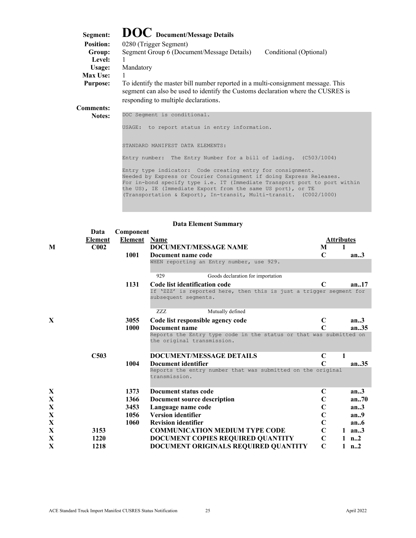<span id="page-25-0"></span>

| Segment:         | <b>DOC</b> Document/Message Details                                                                                                                                                                          |                        |
|------------------|--------------------------------------------------------------------------------------------------------------------------------------------------------------------------------------------------------------|------------------------|
| <b>Position:</b> | 0280 (Trigger Segment)                                                                                                                                                                                       |                        |
| Group:           | Segment Group 6 (Document/Message Details)                                                                                                                                                                   | Conditional (Optional) |
| Level:           |                                                                                                                                                                                                              |                        |
| Usage:           | Mandatory                                                                                                                                                                                                    |                        |
| Max Use:         |                                                                                                                                                                                                              |                        |
| <b>Purpose:</b>  | To identify the master bill number reported in a multi-consignment message. This<br>segment can also be used to identify the Customs declaration where the CUSRES is<br>responding to multiple declarations. |                        |
| <b>Comments:</b> |                                                                                                                                                                                                              |                        |
| Notes:           | DOC Segment is conditional.                                                                                                                                                                                  |                        |
|                  | to report status in entry information.<br>USAGE:                                                                                                                                                             |                        |

STANDARD MANIFEST DATA ELEMENTS:

Entry number: The Entry Number for a bill of lading. (C503/1004)

Entry type indicator: Code creating entry for consignment. Needed by Express or Courier Consignment if doing Express Releases. For in-bond specify type i.e. IT (Immediate Transport port to port within the US), IE (Immediate Export from the same US port), or TE (Transportation & Export), In-transit, Multi-transit. (C002/1000)

|              | Data             | Component           |                                                                                                  |              |                   |
|--------------|------------------|---------------------|--------------------------------------------------------------------------------------------------|--------------|-------------------|
|              | Element          | <b>Element</b> Name |                                                                                                  |              | <b>Attributes</b> |
| M            | C <sub>002</sub> |                     | <b>DOCUMENT/MESSAGE NAME</b>                                                                     | M            | 1                 |
|              |                  | 1001                | Document name code                                                                               | $\mathsf{C}$ | an.3              |
|              |                  |                     | WHEN reporting an Entry number, use 929.                                                         |              |                   |
|              |                  |                     | 929<br>Goods declaration for importation                                                         |              |                   |
|              |                  | 1131                | Code list identification code                                                                    | $\mathbf C$  | an.17             |
|              |                  |                     | If 'ZZZ' is reported here, then this is just a trigger segment for<br>subsequent seqments.       |              |                   |
|              |                  |                     | Mutually defined<br>ZZZ                                                                          |              |                   |
| $\mathbf{x}$ |                  | 3055                | Code list responsible agency code                                                                | C            | an.3              |
|              |                  | 1000                | Document name                                                                                    | $\mathbf C$  | an.35             |
|              |                  |                     | Reports the Entry type code in the status or that was submitted on<br>the original transmission. |              |                   |
|              | C <sub>503</sub> |                     | <b>DOCUMENT/MESSAGE DETAILS</b>                                                                  | C            | 1                 |
|              |                  | 1004                | Document identifier                                                                              | C            | an.35             |
|              |                  |                     | Reports the entry number that was submitted on the original<br>transmission.                     |              |                   |
| X            |                  | 1373                | Document status code                                                                             | $\mathbf C$  | an.3              |
| X            |                  | 1366                | Document source description                                                                      | $\mathbf C$  | an70              |
| X            |                  | 3453                | Language name code                                                                               | $\mathbf C$  | an.3              |
| X            |                  | 1056                | <b>Version identifier</b>                                                                        | $\mathbf C$  | an.9              |
| X            |                  | 1060                | <b>Revision identifier</b>                                                                       | $\mathbf C$  | an.6              |
| X            | 3153             |                     | <b>COMMUNICATION MEDIUM TYPE CODE</b>                                                            | $\mathbf C$  | $1$ an3           |
| X            | 1220             |                     | DOCUMENT COPIES REQUIRED QUANTITY                                                                | $\mathbf C$  | 1 $n2$            |
| X            | 1218             |                     | DOCUMENT ORIGINALS REQUIRED QUANTITY                                                             | $\mathbf C$  | 1 $n_{\cdot}$ , 2 |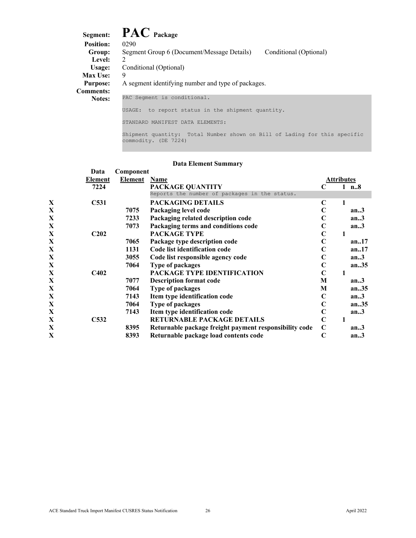# <span id="page-26-0"></span>**Segment: PAC Package**

| эеgшені.         | $\blacksquare$ $\blacksquare$ $\blacksquare$ $\blacksquare$ $\blacksquare$ $\blacksquare$ $\blacksquare$ $\blacksquare$ $\blacksquare$ $\blacksquare$ $\blacksquare$ $\blacksquare$ |
|------------------|-------------------------------------------------------------------------------------------------------------------------------------------------------------------------------------|
| <b>Position:</b> | 0290                                                                                                                                                                                |
| Group:           | Segment Group 6 (Document/Message Details)<br>Conditional (Optional)                                                                                                                |
| Level:           | $\mathcal{L}$                                                                                                                                                                       |
| Usage:           | Conditional (Optional)                                                                                                                                                              |
| <b>Max Use:</b>  | 9                                                                                                                                                                                   |
| <b>Purpose:</b>  | A segment identifying number and type of packages.                                                                                                                                  |
| <b>Comments:</b> |                                                                                                                                                                                     |
| <b>Notes:</b>    | PAC Segment is conditional.                                                                                                                                                         |
|                  | to report status in the shipment quantity.<br>USAGE:                                                                                                                                |
|                  | STANDARD MANIFEST DATA ELEMENTS:                                                                                                                                                    |
|                  |                                                                                                                                                                                     |

Shipment quantity: Total Number shown on Bill of Lading for this specific commodity. (DE 7224)

|   | Data                          |                | Component                                              |                   |   |         |  |  |  |
|---|-------------------------------|----------------|--------------------------------------------------------|-------------------|---|---------|--|--|--|
|   | <b>Element</b>                | <b>Element</b> | Name                                                   | <b>Attributes</b> |   |         |  |  |  |
|   | 7224                          |                | PACKAGE QUANTITY                                       |                   |   | 1 n.8   |  |  |  |
|   |                               |                | Reports the number of packages in the status.          |                   |   |         |  |  |  |
| X | C <sub>531</sub>              |                | PACKAGING DETAILS                                      | C                 | 1 |         |  |  |  |
| X |                               | 7075           | Packaging level code                                   | $\mathbf C$       |   | an.3    |  |  |  |
| X |                               | 7233           | Packaging related description code                     | C                 |   | an.3    |  |  |  |
| X |                               | 7073           | Packaging terms and conditions code                    | $\mathbf C$       |   | an.3    |  |  |  |
| X | C202                          |                | <b>PACKAGE TYPE</b>                                    | $\mathbf C$       | 1 |         |  |  |  |
| X |                               | 7065           | Package type description code                          | C                 |   | an17    |  |  |  |
| X |                               | 1131           | Code list identification code                          | C                 |   | an.17   |  |  |  |
| X |                               | 3055           | Code list responsible agency code                      | $\mathbf C$       |   | an.3    |  |  |  |
| X |                               | 7064           | Type of packages                                       | $\mathbf C$       |   | an35    |  |  |  |
| X | C <sub>4</sub> 0 <sub>2</sub> |                | PACKAGE TYPE IDENTIFICATION                            | $\mathbf C$       |   |         |  |  |  |
| X |                               | 7077           | <b>Description format code</b>                         | M                 |   | an.3    |  |  |  |
| X |                               | 7064           | <b>Type of packages</b>                                | M                 |   | an $35$ |  |  |  |
| X |                               | 7143           | Item type identification code                          | $\mathbf C$       |   | an.3    |  |  |  |
| X |                               | 7064           | Type of packages                                       | $\mathbf C$       |   | an.35   |  |  |  |
| X |                               | 7143           | Item type identification code                          | C                 |   | an.3    |  |  |  |
| X | C <sub>532</sub>              |                | RETURNABLE PACKAGE DETAILS                             | $\mathbf C$       |   |         |  |  |  |
| X |                               | 8395           | Returnable package freight payment responsibility code | $\mathbf C$       |   | an.3    |  |  |  |
| X |                               | 8393           | Returnable package load contents code                  | $\mathbf C$       |   | an.3    |  |  |  |
|   |                               |                |                                                        |                   |   |         |  |  |  |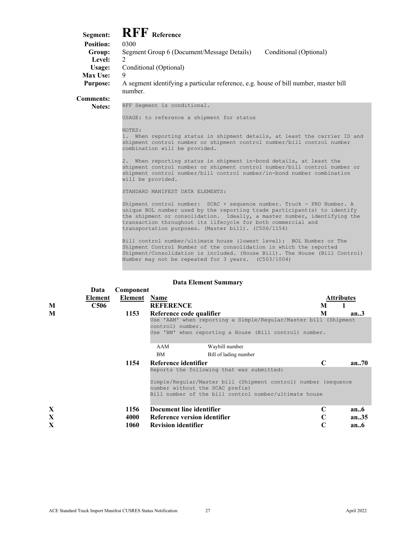<span id="page-27-0"></span>**Segment: RFF Reference Position: Group:** Segment Group 6 (Document/Message Details) Conditional (Optional) Level: 2 **Usage:** Conditional (Optional) **Max Use:** 9 **Purpose:** A segment identifying a particular reference, e.g. house of bill number, master bill number. **Comments:**

**Notes:** RFF Segment is conditional.

USAGE: to reference a shipment for status

NOTES:

1. When reporting status in shipment details, at least the carrier ID and shipment control number or shipment control number/bill control number combination will be provided.

2. When reporting status in shipment in-bond details, at least the shipment control number or shipment control number/bill control number or shipment control number/bill control number/in-bond number combination will be provided.

STANDARD MANIFEST DATA ELEMENTS:

Shipment control number: SCAC + sequence number. Truck - PRO Number. A unique BOL number used by the reporting trade participant(s) to identify the shipment or consolidation. Ideally, a master number, identifying the transaction throughout its lifecycle for both commercial and transportation purposes. (Master bill). (C506/1154)

Bill control number/ultimate house (lowest level): BOL Number or The Shipment Control Number of the consolidation in which the reported Shipment/Consolidation is included. (House Bill). The House (Bill Control) Number may not be repeated for 3 years. (C503/1004)

|              | Data        | Component           |                                                                                     |   |                   |
|--------------|-------------|---------------------|-------------------------------------------------------------------------------------|---|-------------------|
|              | Element     | <b>Element</b> Name |                                                                                     |   | <b>Attributes</b> |
| M            | <b>C506</b> |                     | <b>REFERENCE</b>                                                                    | M |                   |
| M            |             | 1153                | Reference code qualifier                                                            | M | an.3              |
|              |             |                     | Use 'AAM' when reporting a Simple/Reqular/Master bill (Shipment<br>control) number. |   |                   |
|              |             |                     | Use 'BM' when reporting a House (Bill control) number.                              |   |                   |
|              |             |                     | AAM<br>Waybill number                                                               |   |                   |
|              |             |                     | <b>BM</b><br>Bill of lading number                                                  |   |                   |
|              |             | 1154                | Reference identifier                                                                | C | an.70             |
|              |             |                     | Reports the following that was submitted:                                           |   |                   |
|              |             |                     | Simple/Reqular/Master bill (Shipment control) number (sequence                      |   |                   |
|              |             |                     | number without the SCAC prefix)                                                     |   |                   |
|              |             |                     | Bill number of the bill control number/ultimate house                               |   |                   |
| X            |             | 1156                | Document line identifier                                                            | C | an.6              |
| X            |             | 4000                | Reference version identifier                                                        | C | an.35             |
| $\mathbf{X}$ |             | 1060                | <b>Revision identifier</b>                                                          | C | an.6              |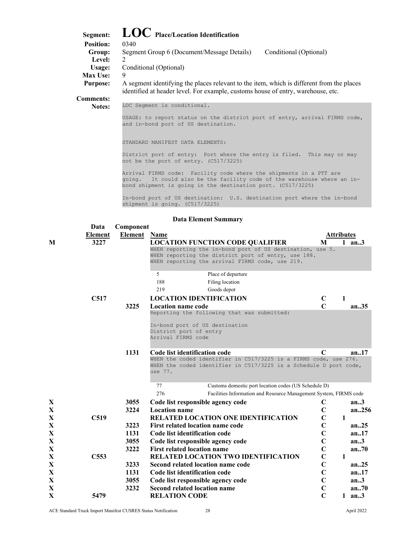# <span id="page-28-0"></span>**Segment: LOC Place/Location Identification**

| осешени.         | $\rightarrow$ $\rightarrow$ 1 ray Lovanon raymentation                                                                                                                        |                        |
|------------------|-------------------------------------------------------------------------------------------------------------------------------------------------------------------------------|------------------------|
| <b>Position:</b> | 0340                                                                                                                                                                          |                        |
| Group:           | Segment Group 6 (Document/Message Details)                                                                                                                                    | Conditional (Optional) |
| Level:           |                                                                                                                                                                               |                        |
| Usage:           | Conditional (Optional)                                                                                                                                                        |                        |
| <b>Max Use:</b>  | 9                                                                                                                                                                             |                        |
| <b>Purpose:</b>  | A segment identifying the places relevant to the item, which is different from the places<br>identified at header level. For example, customs house of entry, warehouse, etc. |                        |
| <b>Comments:</b> |                                                                                                                                                                               |                        |
| <b>Notes:</b>    | LOC Seqment is conditional.                                                                                                                                                   |                        |

USAGE: to report status on the district port of entry, arrival FIRMS code, and in-bond port of US destination.

STANDARD MANIFEST DATA ELEMENTS:

District port of entry: Port where the entry is filed. This may or may not be the port of entry. (C517/3225)

Arrival FIRMS code: Facility code where the shipments in a PTT are going. It could also be the facility code of the warehouse where an inbond shipment is going in the destination port. (C517/3225)

In-bond port of US destination: U.S. destination port where the in-bond shipment is going. (C517/3225)

|             | Data             | Component           |                                                                                                                                       |                |                   |         |
|-------------|------------------|---------------------|---------------------------------------------------------------------------------------------------------------------------------------|----------------|-------------------|---------|
|             | <b>Element</b>   | <b>Element</b> Name |                                                                                                                                       |                | <b>Attributes</b> |         |
| M           | 3227             |                     | <b>LOCATION FUNCTION CODE QUALIFIER</b>                                                                                               | M              |                   | $1$ an3 |
|             |                  |                     | WHEN reporting the in-bond port of US destination, use 5.                                                                             |                |                   |         |
|             |                  |                     | WHEN reporting the district port of entry, use 188.<br>WHEN reporting the arrival FIRMS code, use 219.                                |                |                   |         |
|             |                  |                     |                                                                                                                                       |                |                   |         |
|             |                  |                     | 5<br>Place of departure                                                                                                               |                |                   |         |
|             |                  |                     | 188<br>Filing location                                                                                                                |                |                   |         |
|             |                  |                     | 219<br>Goods depot                                                                                                                    |                |                   |         |
|             | C <sub>517</sub> |                     | <b>LOCATION IDENTIFICATION</b>                                                                                                        | $\mathbf C$    | $\mathbf{1}$      |         |
|             |                  | 3225                | <b>Location name code</b>                                                                                                             | $\mathbf C$    |                   | an.35   |
|             |                  |                     | Reporting the following that was submitted:                                                                                           |                |                   |         |
|             |                  |                     | In-bond port of US destination                                                                                                        |                |                   |         |
|             |                  |                     | District port of entry                                                                                                                |                |                   |         |
|             |                  |                     | Arrival FIRMS code                                                                                                                    |                |                   |         |
|             |                  | 1131                | Code list identification code                                                                                                         | C              |                   | an.17   |
|             |                  |                     | WHEN the coded identifier in C517/3225 is a FIRMS code, use 276.<br>WHEN the coded identifier in C517/3225 is a Schedule D port code, |                |                   |         |
|             |                  |                     | use 77.                                                                                                                               |                |                   |         |
|             |                  |                     | 77                                                                                                                                    |                |                   |         |
|             |                  |                     | Customs domestic port location codes (US Schedule D)<br>276                                                                           |                |                   |         |
| X           |                  | 3055                | Facilities Information and Resource Management System, FIRMS code<br>Code list responsible agency code                                | C              |                   | an.3    |
| $\mathbf X$ |                  | 3224                | <b>Location name</b>                                                                                                                  | $\mathbf C$    |                   | an.256  |
| $\mathbf X$ | C <sub>519</sub> |                     | <b>RELATED LOCATION ONE IDENTIFICATION</b>                                                                                            | $\mathbf C$    | $\mathbf{1}$      |         |
| $\mathbf X$ |                  | 3223                | First related location name code                                                                                                      | $\overline{C}$ |                   | an.25   |
| $\mathbf X$ |                  | 1131                | Code list identification code                                                                                                         | $\overline{C}$ |                   | an17    |
| $\mathbf X$ |                  | 3055                | Code list responsible agency code                                                                                                     | $\mathbf C$    |                   | an.3    |
| $\mathbf X$ |                  | 3222                | <b>First related location name</b>                                                                                                    | $\overline{C}$ |                   | an.70   |
| X           | C <sub>553</sub> |                     | <b>RELATED LOCATION TWO IDENTIFICATION</b>                                                                                            | $\overline{C}$ | $\mathbf{1}$      |         |
| $\mathbf X$ |                  | 3233                | Second related location name code                                                                                                     | $\mathbf C$    |                   | an.25   |
| $\mathbf X$ |                  | 1131                | Code list identification code                                                                                                         | $\mathbf C$    |                   | an.17   |
| $\mathbf X$ |                  | 3055                | Code list responsible agency code                                                                                                     | $\mathbf C$    |                   | an.3    |
|             |                  | 3232                | <b>Second related location name</b>                                                                                                   | $\overline{C}$ |                   |         |
| X           |                  |                     |                                                                                                                                       | $\overline{C}$ |                   | an.70   |
| X           | 5479             |                     | <b>RELATION CODE</b>                                                                                                                  |                |                   | $1$ an3 |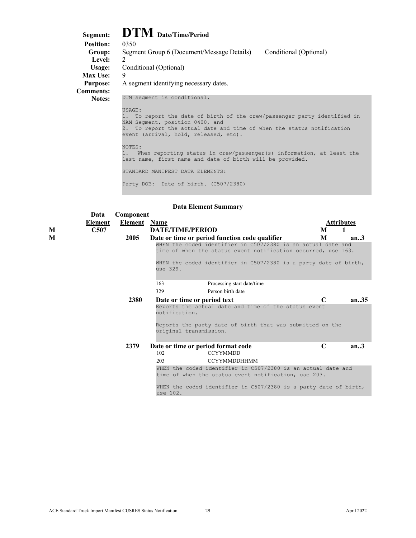## <span id="page-29-0"></span>**Segment: DTM Date/Time/Period**

| $\mathbf{L}$ $\mathbf{L}$ $\mathbf{V}$ $\mathbf{L}$ $\mathbf{D}$ are $\mathbf{L}$ inner $\mathbf{r}$ error                                                                                                                                                                                                                                                                                                                                                |
|-----------------------------------------------------------------------------------------------------------------------------------------------------------------------------------------------------------------------------------------------------------------------------------------------------------------------------------------------------------------------------------------------------------------------------------------------------------|
| 0350                                                                                                                                                                                                                                                                                                                                                                                                                                                      |
| Conditional (Optional)<br>Segment Group 6 (Document/Message Details)                                                                                                                                                                                                                                                                                                                                                                                      |
| $\mathcal{L}$                                                                                                                                                                                                                                                                                                                                                                                                                                             |
| Conditional (Optional)                                                                                                                                                                                                                                                                                                                                                                                                                                    |
| 9                                                                                                                                                                                                                                                                                                                                                                                                                                                         |
| A segment identifying necessary dates.                                                                                                                                                                                                                                                                                                                                                                                                                    |
|                                                                                                                                                                                                                                                                                                                                                                                                                                                           |
| DTM segment is conditional.<br>USAGE:<br>1. To report the date of birth of the crew/passenger party identified in<br>NAM Segment, position 0400, and<br>2. To report the actual date and time of when the status notification<br>event (arrival, hold, released, etc).<br>NOTES:<br>When reporting status in crew/passenger(s) information, at least the<br>last name, first name and date of birth will be provided.<br>STANDARD MANIFEST DATA ELEMENTS: |
|                                                                                                                                                                                                                                                                                                                                                                                                                                                           |

Party DOB: Date of birth. (C507/2380)

|   | Data    | Component           |                                                                                                                               |              |            |  |  |  |
|---|---------|---------------------|-------------------------------------------------------------------------------------------------------------------------------|--------------|------------|--|--|--|
|   | Element | <b>Element</b> Name |                                                                                                                               |              | Attributes |  |  |  |
| M | C507    |                     | <b>DATE/TIME/PERIOD</b>                                                                                                       | M            |            |  |  |  |
| M |         | 2005                | Date or time or period function code qualifier                                                                                | M            | an.3       |  |  |  |
|   |         |                     | WHEN the coded identifier in C507/2380 is an actual date and<br>time of when the status event notification occurred, use 163. |              |            |  |  |  |
|   |         |                     | WHEN the coded identifier in C507/2380 is a party date of birth,<br>use 329.                                                  |              |            |  |  |  |
|   |         |                     | 163<br>Processing start date/time                                                                                             |              |            |  |  |  |
|   |         |                     | 329<br>Person birth date                                                                                                      |              |            |  |  |  |
|   |         | <b>2380</b>         | Date or time or period text                                                                                                   | $\mathsf{C}$ | an $35$    |  |  |  |
|   |         |                     | Reports the actual date and time of the status event<br>notification.                                                         |              |            |  |  |  |
|   |         |                     | Reports the party date of birth that was submitted on the<br>original transmission.                                           |              |            |  |  |  |
|   |         | 2379                | Date or time or period format code<br><b>CCYYMMDD</b><br>102                                                                  | C            | an.3       |  |  |  |
|   |         |                     | <b>CCYYMMDDHHMM</b><br>203                                                                                                    |              |            |  |  |  |
|   |         |                     | WHEN the coded identifier in C507/2380 is an actual date and<br>time of when the status event notification, use 203.          |              |            |  |  |  |
|   |         |                     | WHEN the coded identifier in C507/2380 is a party date of birth,<br>use 102.                                                  |              |            |  |  |  |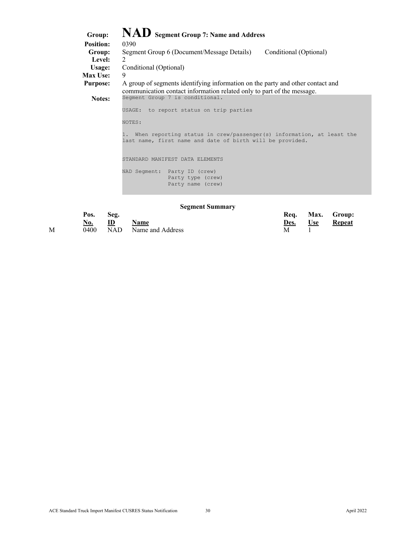<span id="page-30-0"></span>

| Group:           | NAD Segment Group 7: Name and Address                                                                                                                    |
|------------------|----------------------------------------------------------------------------------------------------------------------------------------------------------|
| <b>Position:</b> | 0390                                                                                                                                                     |
| Group:           | Segment Group 6 (Document/Message Details)<br>Conditional (Optional)                                                                                     |
| <b>Level:</b>    | $\mathcal{L}$                                                                                                                                            |
| Usage:           | Conditional (Optional)                                                                                                                                   |
| <b>Max Use:</b>  | 9                                                                                                                                                        |
| <b>Purpose:</b>  | A group of segments identifying information on the party and other contact and<br>communication contact information related only to part of the message. |
| Notes:           | Segment Group 7 is conditional.                                                                                                                          |
|                  | to report status on trip parties<br>USAGE:                                                                                                               |
|                  | NOTES:                                                                                                                                                   |
|                  | When reporting status in crew/passenger(s) information, at least the<br>last name, first name and date of birth will be provided.                        |
|                  | STANDARD MANIFEST DATA ELEMENTS                                                                                                                          |
|                  | NAD Segment: Party ID (crew)<br>Party type (crew)<br>Party name (crew)                                                                                   |

#### **Segment Summary**

|   | Pos.<br><u>No.</u> | Seg.<br>ID | <b>Name</b>          |  | Req.<br>Des. | <u>Use</u> | Max. Group:<br><b>Repeat</b> |
|---|--------------------|------------|----------------------|--|--------------|------------|------------------------------|
| М | 0400               |            | NAD Name and Address |  | Μ            |            |                              |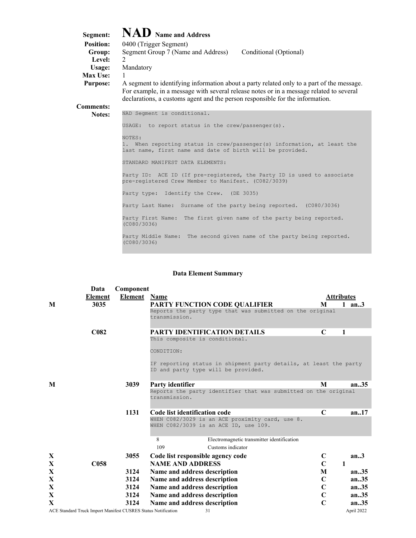<span id="page-31-0"></span>

| Segment:<br><b>Position:</b><br>Group:<br>Level:<br>Usage:<br><b>Max Use:</b><br><b>Purpose:</b> | NAD Name and Address<br>0400 (Trigger Segment)<br>Conditional (Optional)<br>Segment Group 7 (Name and Address)<br>Mandatory<br>1<br>A segment to identifying information about a party related only to a part of the message.<br>For example, in a message with several release notes or in a message related to several |
|--------------------------------------------------------------------------------------------------|--------------------------------------------------------------------------------------------------------------------------------------------------------------------------------------------------------------------------------------------------------------------------------------------------------------------------|
| <b>Comments:</b>                                                                                 | declarations, a customs agent and the person responsible for the information.                                                                                                                                                                                                                                            |
| Notes:                                                                                           | NAD Segment is conditional.                                                                                                                                                                                                                                                                                              |
|                                                                                                  | USAGE: to report status in the crew/passenger(s).                                                                                                                                                                                                                                                                        |
|                                                                                                  | NOTES:<br>1. When reporting status in crew/passenger(s) information, at least the<br>last name, first name and date of birth will be provided.                                                                                                                                                                           |
|                                                                                                  | STANDARD MANIFEST DATA ELEMENTS:                                                                                                                                                                                                                                                                                         |
|                                                                                                  | Party ID: ACE ID (If pre-registered, the Party ID is used to associate<br>pre-reqistered Crew Member to Manifest. (C082/3039)                                                                                                                                                                                            |
|                                                                                                  | Party type: Identify the Crew. (DE 3035)                                                                                                                                                                                                                                                                                 |
|                                                                                                  | Party Last Name: Surname of the party being reported. (C080/3036)                                                                                                                                                                                                                                                        |
|                                                                                                  | Party First Name: The first given name of the party being reported.<br>(C080/3036)                                                                                                                                                                                                                                       |
|                                                                                                  | Party Middle Name: The second given name of the party being reported.<br>(C080/3036)                                                                                                                                                                                                                                     |

|              | Data             | Component                                                     |                                                                                                          |             |                   |
|--------------|------------------|---------------------------------------------------------------|----------------------------------------------------------------------------------------------------------|-------------|-------------------|
|              | <b>Element</b>   | <b>Element</b> Name                                           |                                                                                                          |             | <b>Attributes</b> |
| M            | 3035             |                                                               | <b>PARTY FUNCTION CODE QUALIFIER</b>                                                                     | M           | $1$ an3           |
|              |                  |                                                               | Reports the party type that was submitted on the original<br>transmission.                               |             |                   |
|              | <b>C082</b>      |                                                               | <b>PARTY IDENTIFICATION DETAILS</b>                                                                      | C           | 1                 |
|              |                  |                                                               | This composite is conditional.                                                                           |             |                   |
|              |                  |                                                               | CONDITION:                                                                                               |             |                   |
|              |                  |                                                               | IF reporting status in shipment party details, at least the party<br>ID and party type will be provided. |             |                   |
| M            |                  | 3039                                                          | <b>Party identifier</b>                                                                                  | M           | an.35             |
|              |                  |                                                               | Reports the party identifier that was submitted on the original<br>transmission.                         |             |                   |
|              |                  | 1131                                                          | Code list identification code                                                                            | C           | an.17             |
|              |                  |                                                               | WHEN C082/3029 is an ACE proximity card, use 8.<br>WHEN C082/3039 is an ACE ID, use 109.                 |             |                   |
|              |                  |                                                               | 8<br>Electromagnetic transmitter identification                                                          |             |                   |
|              |                  |                                                               | 109<br>Customs indicator                                                                                 |             |                   |
| X            |                  | 3055                                                          | Code list responsible agency code                                                                        | C           | an.3              |
| X            | C <sub>058</sub> |                                                               | <b>NAME AND ADDRESS</b>                                                                                  | $\mathbf C$ | 1                 |
| X            |                  | 3124                                                          | Name and address description                                                                             | M           | an.35             |
| X            |                  | 3124                                                          | Name and address description                                                                             | $\mathbf C$ | an.35             |
| X            |                  | 3124                                                          | Name and address description                                                                             | $\mathbf C$ | an.35             |
| X            |                  | 3124                                                          | Name and address description                                                                             | $\mathbf C$ | an.35             |
| $\mathbf{X}$ |                  | 3124                                                          | Name and address description                                                                             | $\mathbf C$ | an.35             |
|              |                  | ACE Standard Truck Import Manifest CUSRES Status Notification | 31                                                                                                       |             | April 2022        |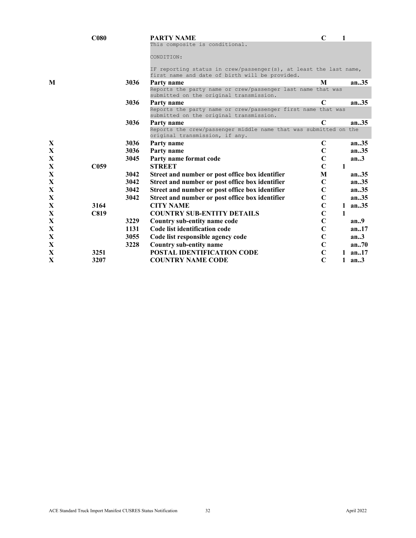|             | C <sub>080</sub> |      | PARTY NAME                                                                                                          | $\mathbf C$    | 1 |           |
|-------------|------------------|------|---------------------------------------------------------------------------------------------------------------------|----------------|---|-----------|
|             |                  |      | This composite is conditional.                                                                                      |                |   |           |
|             |                  |      | CONDITION:                                                                                                          |                |   |           |
|             |                  |      |                                                                                                                     |                |   |           |
|             |                  |      | IF reporting status in crew/passenger(s), at least the last name,<br>first name and date of birth will be provided. |                |   |           |
| M           |                  | 3036 | Party name                                                                                                          | M              |   | an.35     |
|             |                  |      | Reports the party name or crew/passenger last name that was<br>submitted on the original transmission.              |                |   |           |
|             |                  | 3036 | Party name                                                                                                          | C              |   | an.35     |
|             |                  |      | Reports the party name or crew/passenger first name that was<br>submitted on the original transmission.             |                |   |           |
|             |                  | 3036 | Party name                                                                                                          | $\mathbf C$    |   | an.35     |
|             |                  |      | Reports the crew/passenger middle name that was submitted on the<br>original transmission, if any.                  |                |   |           |
| X           |                  | 3036 | Party name                                                                                                          | $\mathbf C$    |   | an35      |
| X           |                  | 3036 | Party name                                                                                                          | $\mathbf C$    |   | an.35     |
| X           |                  | 3045 | Party name format code                                                                                              | $\mathbf C$    |   | an.3      |
| $\mathbf X$ | C <sub>059</sub> |      | <b>STREET</b>                                                                                                       | $\mathbf C$    | 1 |           |
| $\mathbf X$ |                  | 3042 | Street and number or post office box identifier                                                                     | M              |   | an.35     |
| $\mathbf X$ |                  | 3042 | Street and number or post office box identifier                                                                     | $\mathbf C$    |   | an.35     |
| $\mathbf X$ |                  | 3042 | Street and number or post office box identifier                                                                     | $\mathbf C$    |   | an.35     |
| X           |                  | 3042 | Street and number or post office box identifier                                                                     | $\mathbf C$    |   | an.35     |
| X           | 3164             |      | <b>CITY NAME</b>                                                                                                    | $\mathbf C$    |   | 1 an $35$ |
| $\mathbf X$ | <b>C819</b>      |      | <b>COUNTRY SUB-ENTITY DETAILS</b>                                                                                   | $\overline{C}$ | 1 |           |
| X           |                  | 3229 | Country sub-entity name code                                                                                        | $\mathbf C$    |   | an.9      |
| X           |                  | 1131 | Code list identification code                                                                                       | $\mathbf C$    |   | an.17     |
| $\mathbf X$ |                  | 3055 | Code list responsible agency code                                                                                   | $\mathbf C$    |   | an.3      |
| X           |                  | 3228 | Country sub-entity name                                                                                             | $\overline{C}$ |   | an.70     |
| X           | 3251             |      | <b>POSTAL IDENTIFICATION CODE</b>                                                                                   | $\mathbf C$    |   | 1 $an.17$ |
| X           | 3207             |      | <b>COUNTRY NAME CODE</b>                                                                                            | $\mathbf C$    |   | $1$ an3   |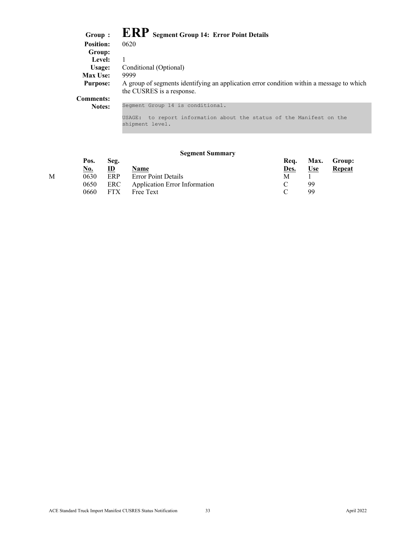| Group :          | <b>ERP</b> Segment Group 14: Error Point Details                                                                      |
|------------------|-----------------------------------------------------------------------------------------------------------------------|
| <b>Position:</b> | 0620                                                                                                                  |
| Group:           |                                                                                                                       |
| Level:           |                                                                                                                       |
| Usage:           | Conditional (Optional)                                                                                                |
| <b>Max Use:</b>  | 9999                                                                                                                  |
| <b>Purpose:</b>  | A group of segments identifying an application error condition within a message to which<br>the CUSRES is a response. |
| <b>Comments:</b> |                                                                                                                       |
| Notes:           | Segment Group 14 is conditional.                                                                                      |
|                  | to report information about the status of the Manifest on the<br>USAGE:<br>shipment level.                            |

### **Segment Summary**

| Pos.       | Seg.         |      | Req.                                                                                   |       | Max. Group:   |
|------------|--------------|------|----------------------------------------------------------------------------------------|-------|---------------|
| <u>No.</u> | $\mathbf{D}$ | Name | <u>Des.</u>                                                                            | $Use$ | <b>Repeat</b> |
| 0630       | ERP          |      | М                                                                                      |       |               |
| 0650       |              |      |                                                                                        | 99    |               |
| 0660       |              |      |                                                                                        | 99    |               |
|            |              |      | <b>Error Point Details</b><br>ERC Application Error Information<br>$-FTX$<br>Free Text |       |               |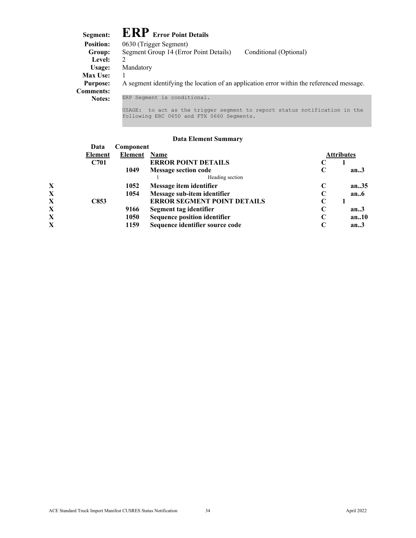<span id="page-34-0"></span>

| Segment:         | <b>ERP</b> Error Point Details                                                            |
|------------------|-------------------------------------------------------------------------------------------|
| <b>Position:</b> | 0630 (Trigger Segment)                                                                    |
| Group:           | Segment Group 14 (Error Point Details)<br>Conditional (Optional)                          |
| Level:           | $\mathfrak{D}$                                                                            |
| Usage:           | Mandatory                                                                                 |
| <b>Max Use:</b>  |                                                                                           |
| <b>Purpose:</b>  | A segment identifying the location of an application error within the referenced message. |
| <b>Comments:</b> |                                                                                           |
| <b>Notes:</b>    | ERP Segment is conditional.                                                               |
|                  | to act as the trigger segment to report status notification in the<br>USAGE:              |

### **Data Element Summary**

following ERC 0650 and FTX 0660 Segments.

|              | Data    | Component |                                     |            |         |
|--------------|---------|-----------|-------------------------------------|------------|---------|
|              | Element | Element   | Name                                | Attributes |         |
|              | C701    |           | <b>ERROR POINT DETAILS</b>          |            |         |
|              |         | 1049      | <b>Message section code</b>         | C          | an.3    |
|              |         |           | Heading section                     |            |         |
| X            |         | 1052      | Message item identifier             | C          | an $35$ |
| X            |         | 1054      | Message sub-item identifier         |            | an.6    |
| X            | C853    |           | <b>ERROR SEGMENT POINT DETAILS</b>  |            |         |
| X            |         | 9166      | Segment tag identifier              | C          | an.3    |
| X            |         | 1050      | <b>Sequence position identifier</b> |            | an.10   |
| $\mathbf{X}$ |         | 1159      | Sequence identifier source code     |            | an.3    |
|              |         |           |                                     |            |         |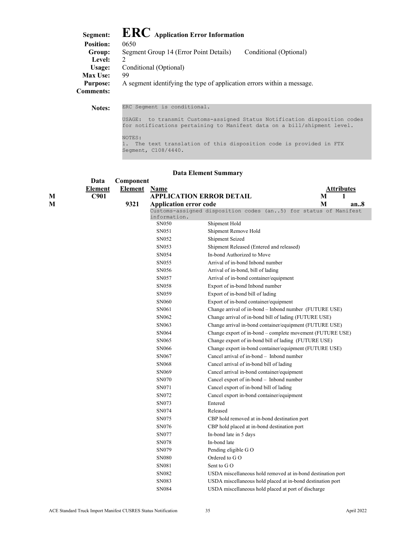<span id="page-35-0"></span>

| Segment:         | <b>ERC</b> Application Error Information                               |                        |
|------------------|------------------------------------------------------------------------|------------------------|
| <b>Position:</b> | 0650                                                                   |                        |
| Group:           | Segment Group 14 (Error Point Details)                                 | Conditional (Optional) |
| Level:           | $\mathcal{D}$                                                          |                        |
| Usage:           | Conditional (Optional)                                                 |                        |
| <b>Max Use:</b>  | 99                                                                     |                        |
| <b>Purpose:</b>  | A segment identifying the type of application errors within a message. |                        |
| <b>Comments:</b> |                                                                        |                        |

**Notes:** ERC Segment is conditional. USAGE: to transmit Customs-assigned Status Notification disposition codes for notifications pertaining to Manifest data on a bill/shipment level. NOTES: 1. The text translation of this disposition code is provided in FTX Segment, C108/4440.

|   | Data           | Component      |                                 |                                                                 |                   |
|---|----------------|----------------|---------------------------------|-----------------------------------------------------------------|-------------------|
|   | <b>Element</b> | <b>Element</b> | <b>Name</b>                     |                                                                 | <b>Attributes</b> |
| М | C901           |                | <b>APPLICATION ERROR DETAIL</b> |                                                                 | 1<br>M            |
| М |                | 9321           | <b>Application error code</b>   |                                                                 | М<br>an8          |
|   |                |                |                                 | Customs-assigned disposition codes (an5) for status of Manifest |                   |
|   |                |                | information.<br>SN050           |                                                                 |                   |
|   |                |                |                                 | Shipment Hold                                                   |                   |
|   |                |                | SN051                           | Shipment Remove Hold                                            |                   |
|   |                |                | SN052                           | Shipment Seized                                                 |                   |
|   |                |                | SN053                           | Shipment Released (Entered and released)                        |                   |
|   |                |                | SN054                           | In-bond Authorized to Move                                      |                   |
|   |                |                | SN055                           | Arrival of in-bond Inbond number                                |                   |
|   |                |                | SN056                           | Arrival of in-bond, bill of lading                              |                   |
|   |                |                | SN057                           | Arrival of in-bond container/equipment                          |                   |
|   |                |                | SN058                           | Export of in-bond Inbond number                                 |                   |
|   |                |                | SN059                           | Export of in-bond bill of lading                                |                   |
|   |                |                | <b>SN060</b>                    | Export of in-bond container/equipment                           |                   |
|   |                |                | SN061                           | Change arrival of in-bond - Inbond number (FUTURE USE)          |                   |
|   |                |                | SN062                           | Change arrival of in-bond bill of lading (FUTURE USE)           |                   |
|   |                |                | SN063                           | Change arrival in-bond container/equipment (FUTURE USE)         |                   |
|   |                |                | SN064                           | Change export of in-bond - complete movement (FUTURE USE)       |                   |
|   |                |                | SN065                           | Change export of in-bond bill of lading (FUTURE USE)            |                   |
|   |                |                | <b>SN066</b>                    | Change export in-bond container/equipment (FUTURE USE)          |                   |
|   |                |                | SN067                           | Cancel arrival of in-bond - Inbond number                       |                   |
|   |                |                | <b>SN068</b>                    | Cancel arrival of in-bond bill of lading                        |                   |
|   |                |                | SN069                           | Cancel arrival in-bond container/equipment                      |                   |
|   |                |                | SN070                           | Cancel export of in-bond - Inbond number                        |                   |
|   |                |                | SN071                           | Cancel export of in-bond bill of lading                         |                   |
|   |                |                | SN072                           | Cancel export in-bond container/equipment                       |                   |
|   |                |                | SN073                           | Entered                                                         |                   |
|   |                |                | SN074                           | Released                                                        |                   |
|   |                |                | SN075                           | CBP hold removed at in-bond destination port                    |                   |
|   |                |                | SN076                           | CBP hold placed at in-bond destination port                     |                   |
|   |                |                | SN077                           | In-bond late in 5 days                                          |                   |
|   |                |                | SN078                           | In-bond late                                                    |                   |
|   |                |                | SN079                           | Pending eligible G O                                            |                   |
|   |                |                | <b>SN080</b>                    | Ordered to G O                                                  |                   |
|   |                |                | SN081                           | Sent to GO                                                      |                   |
|   |                |                | SN082                           | USDA miscellaneous hold removed at in-bond destination port     |                   |
|   |                |                | SN083                           | USDA miscellaneous hold placed at in-bond destination port      |                   |
|   |                |                | SN084                           | USDA miscellaneous hold placed at port of discharge             |                   |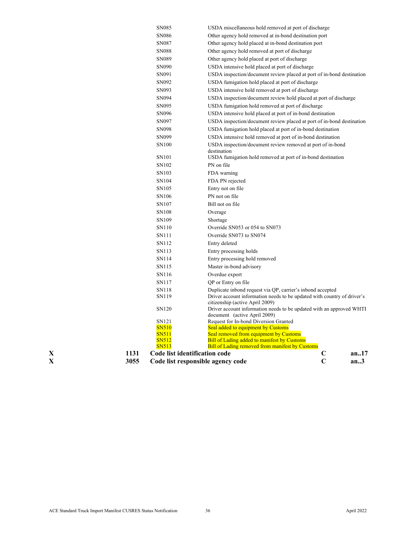| X | 3055 | Code list responsible agency code |                                                                            | $\overline{C}$<br>an.3 |
|---|------|-----------------------------------|----------------------------------------------------------------------------|------------------------|
| X | 1131 | Code list identification code     |                                                                            | C<br>an17              |
|   |      | <b>SN513</b>                      | <b>Bill of Lading removed from manifest by Customs</b>                     |                        |
|   |      | SN512                             | <b>Bill of Lading added to manifest by Customs</b>                         |                        |
|   |      | SN511                             | Seal removed from equipment by Customs                                     |                        |
|   |      | <b>SN510</b>                      | Seal added to equipment by Customs                                         |                        |
|   |      | SN121                             | document (active April 2009)<br>Request for In-bond Diversion Granted      |                        |
|   |      | SN120                             | Driver account information needs to be updated with an approved WHTI       |                        |
|   |      |                                   | citizenship (active April 2009)                                            |                        |
|   |      | SN119                             | Driver account information needs to be updated with country of driver's    |                        |
|   |      | SN118                             | Duplicate inbond request via QP, carrier's inbond accepted                 |                        |
|   |      | SN117                             | QP or Entry on file                                                        |                        |
|   |      | SN116                             | Overdue export                                                             |                        |
|   |      | SN115                             | Master in-bond advisory                                                    |                        |
|   |      | SN114                             | Entry processing hold removed                                              |                        |
|   |      | SN113                             | Entry processing holds                                                     |                        |
|   |      | SN112                             | Entry deleted                                                              |                        |
|   |      | SN111                             | Override SN073 to SN074                                                    |                        |
|   |      | SN110                             | Override SN053 or 054 to SN073                                             |                        |
|   |      | SN109                             | Shortage                                                                   |                        |
|   |      | SN <sub>108</sub>                 | Overage                                                                    |                        |
|   |      | SN <sub>107</sub>                 | Bill not on file                                                           |                        |
|   |      | SN106                             | PN not on file                                                             |                        |
|   |      | SN <sub>105</sub>                 | Entry not on file                                                          |                        |
|   |      | SN104                             | FDA PN rejected                                                            |                        |
|   |      | SN103                             | FDA warning                                                                |                        |
|   |      | SN102                             | PN on file                                                                 |                        |
|   |      | SN101                             | destination<br>USDA fumigation hold removed at port of in-bond destination |                        |
|   |      | SN <sub>100</sub>                 | USDA inspection/document review removed at port of in-bond                 |                        |
|   |      | SN099                             | USDA intensive hold removed at port of in-bond destination                 |                        |
|   |      | SN098                             | USDA fumigation hold placed at port of in-bond destination                 |                        |
|   |      | SN097                             | USDA inspection/document review placed at port of in-bond destination      |                        |
|   |      | SN096                             | USDA intensive hold placed at port of in-bond destination                  |                        |
|   |      | SN095                             | USDA fumigation hold removed at port of discharge                          |                        |
|   |      | SN094                             | USDA inspection/document review hold placed at port of discharge           |                        |
|   |      | SN093                             | USDA intensive hold removed at port of discharge                           |                        |
|   |      | SN092                             | USDA fumigation hold placed at port of discharge                           |                        |
|   |      | SN091                             | USDA inspection/document review placed at port of in-bond destination      |                        |
|   |      | SN090                             | USDA intensive hold placed at port of discharge                            |                        |
|   |      | SN089                             | Other agency hold placed at port of discharge                              |                        |
|   |      | <b>SN088</b>                      | Other agency hold removed at port of discharge                             |                        |
|   |      | SN087                             | Other agency hold placed at in-bond destination port                       |                        |
|   |      | <b>SN086</b>                      | Other agency hold removed at in-bond destination port                      |                        |
|   |      | SN085                             | USDA miscellaneous hold removed at port of discharge                       |                        |
|   |      |                                   |                                                                            |                        |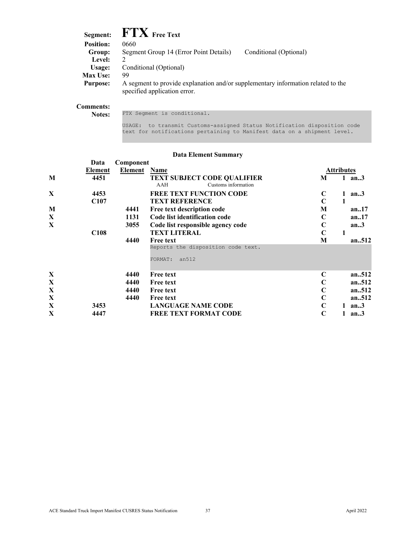| Segment:         | $\mathbf{FTX}$ Free Text                                                                                         |                        |
|------------------|------------------------------------------------------------------------------------------------------------------|------------------------|
| <b>Position:</b> | 0660                                                                                                             |                        |
| Group:           | Segment Group 14 (Error Point Details)                                                                           | Conditional (Optional) |
| Level:           | $\mathcal{D}$                                                                                                    |                        |
| Usage:           | Conditional (Optional)                                                                                           |                        |
| <b>Max Use:</b>  | 99                                                                                                               |                        |
| <b>Purpose:</b>  | A segment to provide explanation and/or supplementary information related to the<br>specified application error. |                        |
|                  |                                                                                                                  |                        |

#### **Comments:**

Notes: FTX Segment is conditional.

USAGE: to transmit Customs-assigned Status Notification disposition code text for notifications pertaining to Manifest data on a shipment level.

|             | Data             | Component |                                                                  |             |            |
|-------------|------------------|-----------|------------------------------------------------------------------|-------------|------------|
|             | <b>Element</b>   | Element   | Name                                                             |             | Attributes |
| M           | 4451             |           | <b>TEXT SUBJECT CODE QUALIFIER</b><br>Customs information<br>AAH | M           | 1 an $3$   |
| X           | 4453             |           | <b>FREE TEXT FUNCTION CODE</b>                                   | $\mathbf C$ | an.3<br>1  |
|             | C <sub>107</sub> |           | <b>TEXT REFERENCE</b>                                            | $\mathbf C$ | 1          |
| M           |                  | 4441      | Free text description code                                       | M           | an.17      |
| X           |                  | 1131      | Code list identification code                                    | $\mathbf C$ | an17       |
| X           |                  | 3055      | Code list responsible agency code                                | C           | an.3       |
|             | C <sub>108</sub> |           | <b>TEXT LITERAL</b>                                              | C           | 1          |
|             |                  | 4440      | <b>Free text</b>                                                 | M           | an.512     |
|             |                  |           | Reports the disposition code text.                               |             |            |
|             |                  |           | an512<br>FORMAT:                                                 |             |            |
| $\mathbf X$ |                  | 4440      | <b>Free text</b>                                                 | C           | an512      |
| X           |                  | 4440      | <b>Free text</b>                                                 | C           | an.512     |
| X           |                  | 4440      | <b>Free text</b>                                                 | C           | an512      |
| X           |                  | 4440      | <b>Free text</b>                                                 | $\mathbf C$ | an512      |
| X           | 3453             |           | <b>LANGUAGE NAME CODE</b>                                        | $\mathbf C$ | 1 an $3$   |
| X           | 4447             |           | <b>FREE TEXT FORMAT CODE</b>                                     | C           | 1<br>an.3  |